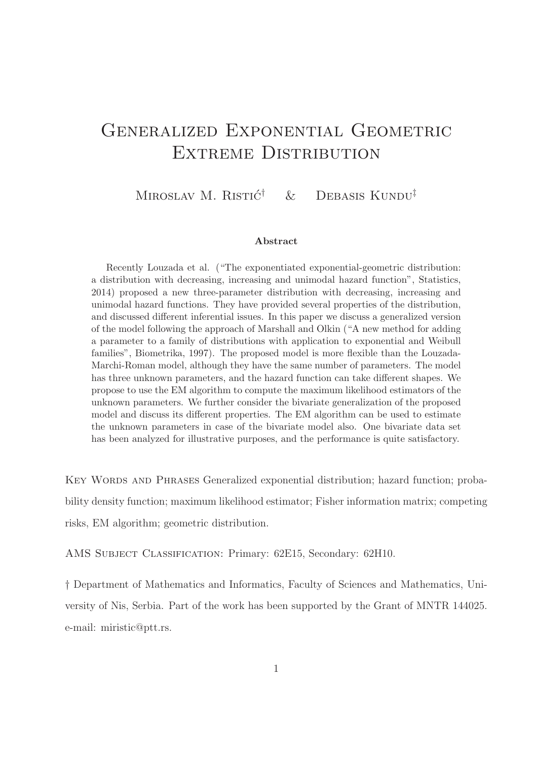# GENERALIZED EXPONENTIAL GEOMETRIC EXTREME DISTRIBUTION

MIROSLAV M. RISTIĆ<sup>†</sup>  $\&$  DEBASIS KUNDU<sup>‡</sup>

#### Abstract

Recently Louzada et al. ("The exponentiated exponential-geometric distribution: a distribution with decreasing, increasing and unimodal hazard function", Statistics, 2014) proposed a new three-parameter distribution with decreasing, increasing and unimodal hazard functions. They have provided several properties of the distribution, and discussed different inferential issues. In this paper we discuss a generalized version of the model following the approach of Marshall and Olkin ("A new method for adding a parameter to a family of distributions with application to exponential and Weibull families", Biometrika, 1997). The proposed model is more flexible than the Louzada-Marchi-Roman model, although they have the same number of parameters. The model has three unknown parameters, and the hazard function can take different shapes. We propose to use the EM algorithm to compute the maximum likelihood estimators of the unknown parameters. We further consider the bivariate generalization of the proposed model and discuss its different properties. The EM algorithm can be used to estimate the unknown parameters in case of the bivariate model also. One bivariate data set has been analyzed for illustrative purposes, and the performance is quite satisfactory.

KEY WORDS AND PHRASES Generalized exponential distribution; hazard function; probability density function; maximum likelihood estimator; Fisher information matrix; competing risks, EM algorithm; geometric distribution.

AMS Subject Classification: Primary: 62E15, Secondary: 62H10.

† Department of Mathematics and Informatics, Faculty of Sciences and Mathematics, University of Nis, Serbia. Part of the work has been supported by the Grant of MNTR 144025. e-mail: miristic@ptt.rs.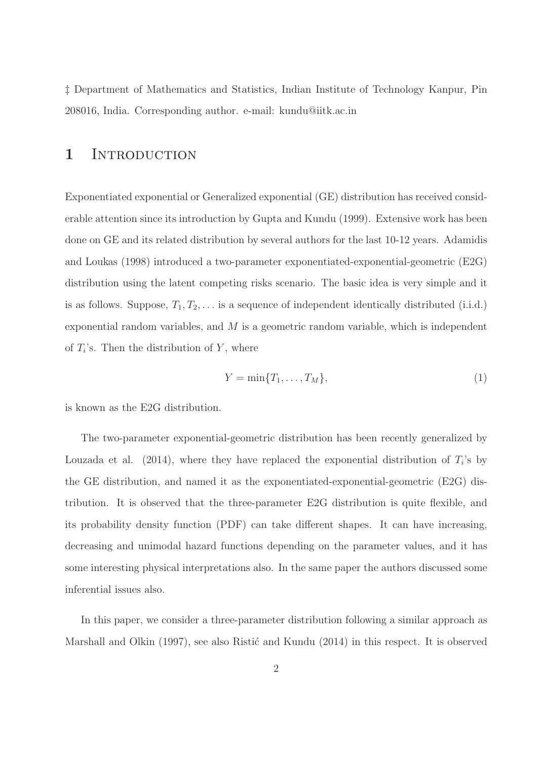‡ Department of Mathematics and Statistics, Indian Institute of Technology Kanpur, Pin 208016, India. Corresponding author. e-mail: kundu@iitk.ac.in

### 1 INTRODUCTION

Exponentiated exponential or Generalized exponential (GE) distribution has received considerable attention since its introduction by Gupta and Kundu (1999). Extensive work has been done on GE and its related distribution by several authors for the last 10-12 years. Adamidis and Loukas (1998) introduced a two-parameter exponentiated-exponential-geometric (E2G) distribution using the latent competing risks scenario. The basic idea is very simple and it is as follows. Suppose,  $T_1, T_2, \ldots$  is a sequence of independent identically distributed (i.i.d.) exponential random variables, and  $M$  is a geometric random variable, which is independent of  $T_i$ 's. Then the distribution of Y, where

$$
Y = \min\{T_1, \dots, T_M\},\tag{1}
$$

is known as the E2G distribution.

The two-parameter exponential-geometric distribution has been recently generalized by Louzada et al. (2014), where they have replaced the exponential distribution of  $T_i$ 's by the GE distribution, and named it as the exponentiated-exponential-geometric (E2G) distribution. It is observed that the three-parameter E2G distribution is quite flexible, and its probability density function (PDF) can take different shapes. It can have increasing, decreasing and unimodal hazard functions depending on the parameter values, and it has some interesting physical interpretations also. In the same paper the authors discussed some inferential issues also.

In this paper, we consider a three-parameter distribution following a similar approach as Marshall and Olkin  $(1997)$ , see also Ristić and Kundu  $(2014)$  in this respect. It is observed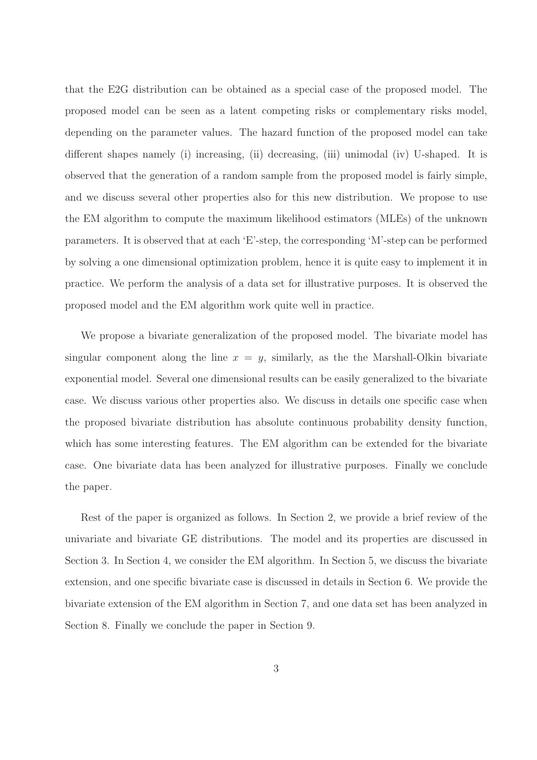that the E2G distribution can be obtained as a special case of the proposed model. The proposed model can be seen as a latent competing risks or complementary risks model, depending on the parameter values. The hazard function of the proposed model can take different shapes namely (i) increasing, (ii) decreasing, (iii) unimodal (iv) U-shaped. It is observed that the generation of a random sample from the proposed model is fairly simple, and we discuss several other properties also for this new distribution. We propose to use the EM algorithm to compute the maximum likelihood estimators (MLEs) of the unknown parameters. It is observed that at each 'E'-step, the corresponding 'M'-step can be performed by solving a one dimensional optimization problem, hence it is quite easy to implement it in practice. We perform the analysis of a data set for illustrative purposes. It is observed the proposed model and the EM algorithm work quite well in practice.

We propose a bivariate generalization of the proposed model. The bivariate model has singular component along the line  $x = y$ , similarly, as the the Marshall-Olkin bivariate exponential model. Several one dimensional results can be easily generalized to the bivariate case. We discuss various other properties also. We discuss in details one specific case when the proposed bivariate distribution has absolute continuous probability density function, which has some interesting features. The EM algorithm can be extended for the bivariate case. One bivariate data has been analyzed for illustrative purposes. Finally we conclude the paper.

Rest of the paper is organized as follows. In Section 2, we provide a brief review of the univariate and bivariate GE distributions. The model and its properties are discussed in Section 3. In Section 4, we consider the EM algorithm. In Section 5, we discuss the bivariate extension, and one specific bivariate case is discussed in details in Section 6. We provide the bivariate extension of the EM algorithm in Section 7, and one data set has been analyzed in Section 8. Finally we conclude the paper in Section 9.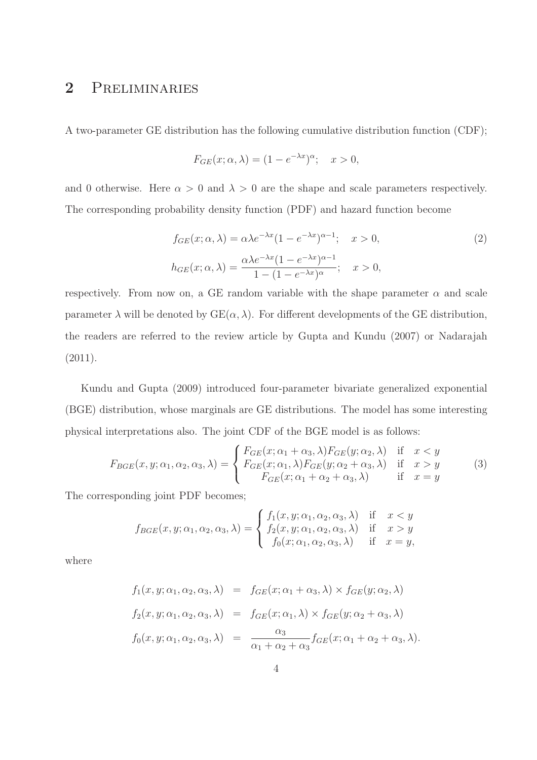### 2 Preliminaries

A two-parameter GE distribution has the following cumulative distribution function (CDF);

$$
F_{GE}(x; \alpha, \lambda) = (1 - e^{-\lambda x})^{\alpha}; \quad x > 0,
$$

and 0 otherwise. Here  $\alpha > 0$  and  $\lambda > 0$  are the shape and scale parameters respectively. The corresponding probability density function (PDF) and hazard function become

$$
f_{GE}(x; \alpha, \lambda) = \alpha \lambda e^{-\lambda x} (1 - e^{-\lambda x})^{\alpha - 1}; \quad x > 0,
$$
  
\n
$$
h_{GE}(x; \alpha, \lambda) = \frac{\alpha \lambda e^{-\lambda x} (1 - e^{-\lambda x})^{\alpha - 1}}{1 - (1 - e^{-\lambda x})^{\alpha}}; \quad x > 0,
$$
\n(2)

respectively. From now on, a GE random variable with the shape parameter  $\alpha$  and scale parameter  $\lambda$  will be denoted by  $GE(\alpha, \lambda)$ . For different developments of the GE distribution, the readers are referred to the review article by Gupta and Kundu (2007) or Nadarajah  $(2011).$ 

Kundu and Gupta (2009) introduced four-parameter bivariate generalized exponential (BGE) distribution, whose marginals are GE distributions. The model has some interesting physical interpretations also. The joint CDF of the BGE model is as follows:

$$
F_{BGE}(x, y; \alpha_1, \alpha_2, \alpha_3, \lambda) = \begin{cases} F_{GE}(x; \alpha_1 + \alpha_3, \lambda) F_{GE}(y; \alpha_2, \lambda) & \text{if } x < y \\ F_{GE}(x; \alpha_1, \lambda) F_{GE}(y; \alpha_2 + \alpha_3, \lambda) & \text{if } x > y \\ F_{GE}(x; \alpha_1 + \alpha_2 + \alpha_3, \lambda) & \text{if } x = y \end{cases}
$$
(3)

The corresponding joint PDF becomes;

$$
f_{BGE}(x, y; \alpha_1, \alpha_2, \alpha_3, \lambda) = \begin{cases} f_1(x, y; \alpha_1, \alpha_2, \alpha_3, \lambda) & \text{if } x < y \\ f_2(x, y; \alpha_1, \alpha_2, \alpha_3, \lambda) & \text{if } x > y \\ f_0(x; \alpha_1, \alpha_2, \alpha_3, \lambda) & \text{if } x = y, \end{cases}
$$

where

$$
f_1(x, y; \alpha_1, \alpha_2, \alpha_3, \lambda) = f_{GE}(x; \alpha_1 + \alpha_3, \lambda) \times f_{GE}(y; \alpha_2, \lambda)
$$
  
\n
$$
f_2(x, y; \alpha_1, \alpha_2, \alpha_3, \lambda) = f_{GE}(x; \alpha_1, \lambda) \times f_{GE}(y; \alpha_2 + \alpha_3, \lambda)
$$
  
\n
$$
f_0(x, y; \alpha_1, \alpha_2, \alpha_3, \lambda) = \frac{\alpha_3}{\alpha_1 + \alpha_2 + \alpha_3} f_{GE}(x; \alpha_1 + \alpha_2 + \alpha_3, \lambda).
$$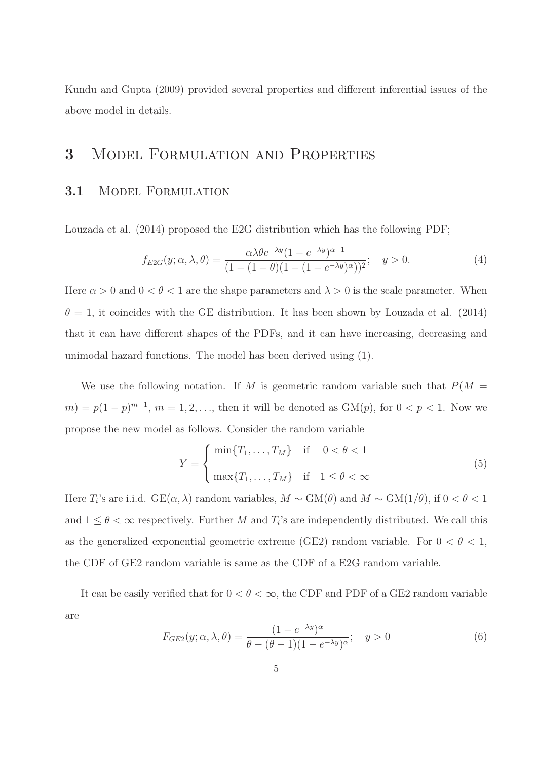Kundu and Gupta (2009) provided several properties and different inferential issues of the above model in details.

## 3 Model Formulation and Properties

### 3.1 Model Formulation

Louzada et al. (2014) proposed the E2G distribution which has the following PDF;

$$
f_{E2G}(y; \alpha, \lambda, \theta) = \frac{\alpha \lambda \theta e^{-\lambda y} (1 - e^{-\lambda y})^{\alpha - 1}}{(1 - (1 - \theta)(1 - (1 - e^{-\lambda y})^{\alpha}))^2}; \quad y > 0.
$$
 (4)

Here  $\alpha > 0$  and  $0 < \theta < 1$  are the shape parameters and  $\lambda > 0$  is the scale parameter. When  $\theta = 1$ , it coincides with the GE distribution. It has been shown by Louzada et al. (2014) that it can have different shapes of the PDFs, and it can have increasing, decreasing and unimodal hazard functions. The model has been derived using (1).

We use the following notation. If M is geometric random variable such that  $P(M =$  $(m) = p(1-p)^{m-1}, m = 1, 2, ...,$  then it will be denoted as  $GM(p)$ , for  $0 < p < 1$ . Now we propose the new model as follows. Consider the random variable

$$
Y = \begin{cases} \min\{T_1, \dots, T_M\} & \text{if } 0 < \theta < 1\\ \max\{T_1, \dots, T_M\} & \text{if } 1 \le \theta < \infty \end{cases} \tag{5}
$$

Here  $T_i$ 's are i.i.d. GE( $\alpha$ ,  $\lambda$ ) random variables,  $M \sim GM(\theta)$  and  $M \sim GM(1/\theta)$ , if  $0 < \theta < 1$ and  $1 \leq \theta < \infty$  respectively. Further M and  $T_i$ 's are independently distributed. We call this as the generalized exponential geometric extreme (GE2) random variable. For  $0 < \theta < 1$ , the CDF of GE2 random variable is same as the CDF of a E2G random variable.

It can be easily verified that for  $0 < \theta < \infty$ , the CDF and PDF of a GE2 random variable are

$$
F_{GE2}(y; \alpha, \lambda, \theta) = \frac{(1 - e^{-\lambda y})^{\alpha}}{\theta - (\theta - 1)(1 - e^{-\lambda y})^{\alpha}}; \quad y > 0
$$
\n
$$
(6)
$$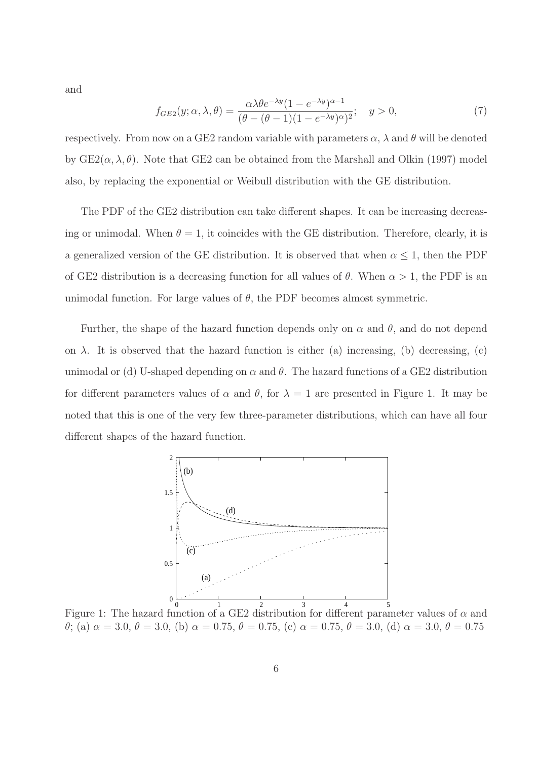and

$$
f_{GE2}(y; \alpha, \lambda, \theta) = \frac{\alpha \lambda \theta e^{-\lambda y} (1 - e^{-\lambda y})^{\alpha - 1}}{(\theta - (\theta - 1)(1 - e^{-\lambda y})^{\alpha})^2}; \quad y > 0,
$$
\n
$$
(7)
$$

respectively. From now on a GE2 random variable with parameters  $\alpha$ ,  $\lambda$  and  $\theta$  will be denoted by  $GE2(\alpha, \lambda, \theta)$ . Note that GE2 can be obtained from the Marshall and Olkin (1997) model also, by replacing the exponential or Weibull distribution with the GE distribution.

The PDF of the GE2 distribution can take different shapes. It can be increasing decreasing or unimodal. When  $\theta = 1$ , it coincides with the GE distribution. Therefore, clearly, it is a generalized version of the GE distribution. It is observed that when  $\alpha \leq 1$ , then the PDF of GE2 distribution is a decreasing function for all values of  $\theta$ . When  $\alpha > 1$ , the PDF is an unimodal function. For large values of  $\theta$ , the PDF becomes almost symmetric.

Further, the shape of the hazard function depends only on  $\alpha$  and  $\theta$ , and do not depend on  $\lambda$ . It is observed that the hazard function is either (a) increasing, (b) decreasing, (c) unimodal or (d) U-shaped depending on  $\alpha$  and  $\theta$ . The hazard functions of a GE2 distribution for different parameters values of  $\alpha$  and  $\theta$ , for  $\lambda = 1$  are presented in Figure 1. It may be noted that this is one of the very few three-parameter distributions, which can have all four different shapes of the hazard function.



Figure 1: The hazard function of a GE2 distribution for different parameter values of  $\alpha$  and θ; (a)  $\alpha = 3.0, \theta = 3.0$ , (b)  $\alpha = 0.75, \theta = 0.75$ , (c)  $\alpha = 0.75, \theta = 3.0$ , (d)  $\alpha = 3.0, \theta = 0.75$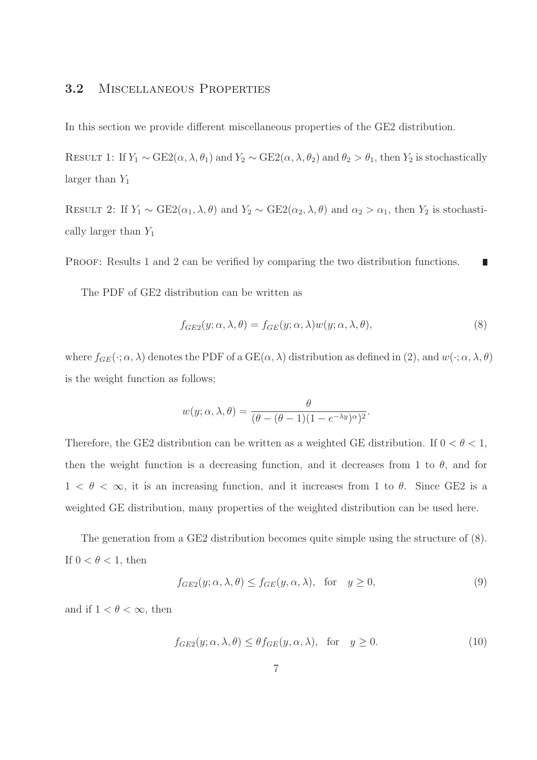### 3.2 Miscellaneous Properties

In this section we provide different miscellaneous properties of the GE2 distribution.

RESULT 1: If  $Y_1 \sim \text{GE2}(\alpha, \lambda, \theta_1)$  and  $Y_2 \sim \text{GE2}(\alpha, \lambda, \theta_2)$  and  $\theta_2 > \theta_1$ , then  $Y_2$  is stochastically larger than  $Y_1$ 

RESULT 2: If  $Y_1 \sim \text{GE2}(\alpha_1, \lambda, \theta)$  and  $Y_2 \sim \text{GE2}(\alpha_2, \lambda, \theta)$  and  $\alpha_2 > \alpha_1$ , then  $Y_2$  is stochastically larger than  $Y_1$ 

PROOF: Results 1 and 2 can be verified by comparing the two distribution functions. Ľ

The PDF of GE2 distribution can be written as

$$
f_{GE2}(y; \alpha, \lambda, \theta) = f_{GE}(y; \alpha, \lambda)w(y; \alpha, \lambda, \theta),
$$
\n(8)

where  $f_{GE}(\cdot; \alpha, \lambda)$  denotes the PDF of a  $GE(\alpha, \lambda)$  distribution as defined in (2), and  $w(\cdot; \alpha, \lambda, \theta)$ is the weight function as follows;

$$
w(y; \alpha, \lambda, \theta) = \frac{\theta}{(\theta - (\theta - 1)(1 - e^{-\lambda y})^{\alpha})^2}.
$$

Therefore, the GE2 distribution can be written as a weighted GE distribution. If  $0 < \theta < 1$ , then the weight function is a decreasing function, and it decreases from 1 to  $\theta$ , and for  $1 < \theta < \infty$ , it is an increasing function, and it increases from 1 to  $\theta$ . Since GE2 is a weighted GE distribution, many properties of the weighted distribution can be used here.

The generation from a GE2 distribution becomes quite simple using the structure of (8). If  $0 < \theta < 1$ , then

$$
f_{GE2}(y; \alpha, \lambda, \theta) \le f_{GE}(y, \alpha, \lambda), \text{ for } y \ge 0,
$$
\n(9)

and if  $1 < \theta < \infty$ , then

$$
f_{GE2}(y; \alpha, \lambda, \theta) \le \theta f_{GE}(y, \alpha, \lambda), \text{ for } y \ge 0.
$$
 (10)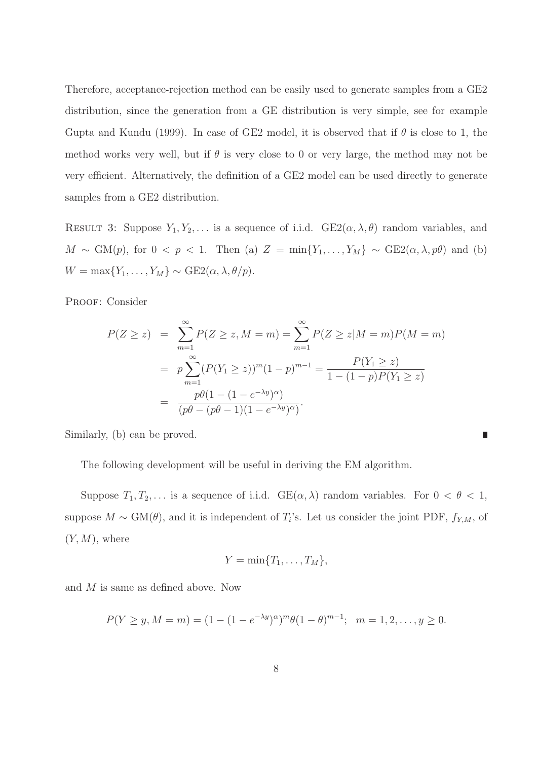Therefore, acceptance-rejection method can be easily used to generate samples from a GE2 distribution, since the generation from a GE distribution is very simple, see for example Gupta and Kundu (1999). In case of GE2 model, it is observed that if  $\theta$  is close to 1, the method works very well, but if  $\theta$  is very close to 0 or very large, the method may not be very efficient. Alternatively, the definition of a GE2 model can be used directly to generate samples from a GE2 distribution.

RESULT 3: Suppose  $Y_1, Y_2, \ldots$  is a sequence of i.i.d.  $GE2(\alpha, \lambda, \theta)$  random variables, and  $M \sim GM(p)$ , for  $0 < p < 1$ . Then (a)  $Z = min{Y_1, ..., Y_M} \sim GE2(\alpha, \lambda, p\theta)$  and (b)  $W = \max\{Y_1, \ldots, Y_M\} \sim \text{GE2}(\alpha, \lambda, \theta/p).$ 

PROOF: Consider

$$
P(Z \ge z) = \sum_{m=1}^{\infty} P(Z \ge z, M = m) = \sum_{m=1}^{\infty} P(Z \ge z | M = m) P(M = m)
$$
  
=  $p \sum_{m=1}^{\infty} (P(Y_1 \ge z))^m (1 - p)^{m-1} = \frac{P(Y_1 \ge z)}{1 - (1 - p)P(Y_1 \ge z)}$   
=  $\frac{p\theta(1 - (1 - e^{-\lambda y})^{\alpha})}{(p\theta - (p\theta - 1)(1 - e^{-\lambda y})^{\alpha})}.$ 

П

Similarly, (b) can be proved.

The following development will be useful in deriving the EM algorithm.

Suppose  $T_1, T_2, \ldots$  is a sequence of i.i.d.  $GE(\alpha, \lambda)$  random variables. For  $0 < \theta < 1$ , suppose  $M \sim GM(\theta)$ , and it is independent of  $T_i$ 's. Let us consider the joint PDF,  $f_{Y,M}$ , of  $(Y, M)$ , where

$$
Y=\min\{T_1,\ldots,T_M\},\
$$

and M is same as defined above. Now

$$
P(Y \ge y, M = m) = (1 - (1 - e^{-\lambda y})^{\alpha})^m \theta (1 - \theta)^{m-1}; \quad m = 1, 2, \dots, y \ge 0.
$$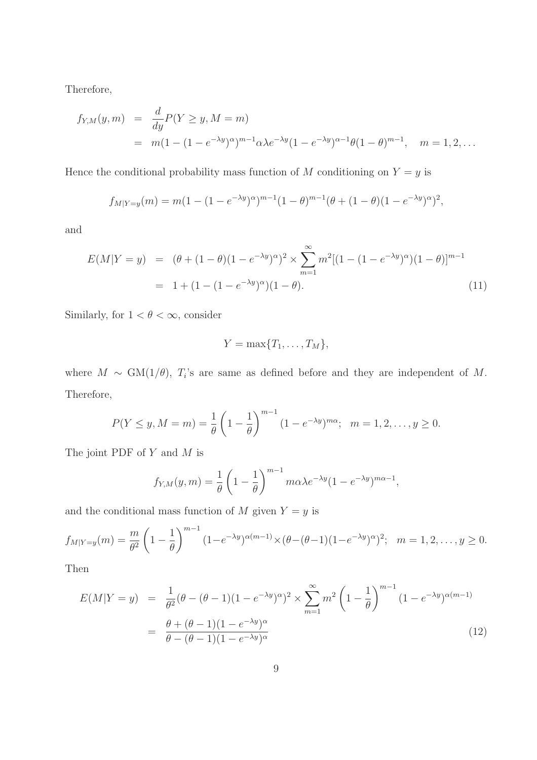Therefore,

$$
f_{Y,M}(y,m) = \frac{d}{dy} P(Y \ge y, M = m)
$$
  
=  $m(1 - (1 - e^{-\lambda y})^{\alpha})^{m-1} \alpha \lambda e^{-\lambda y} (1 - e^{-\lambda y})^{\alpha-1} \theta (1 - \theta)^{m-1}, \quad m = 1, 2, ...$ 

Hence the conditional probability mass function of M conditioning on  $Y = y$  is

$$
f_{M|Y=y}(m) = m(1 - (1 - e^{-\lambda y})^{\alpha})^{m-1}(1 - \theta)^{m-1}(\theta + (1 - \theta)(1 - e^{-\lambda y})^{\alpha})^2,
$$

and

$$
E(M|Y = y) = (\theta + (1 - \theta)(1 - e^{-\lambda y})^{\alpha})^2 \times \sum_{m=1}^{\infty} m^2 [(1 - (1 - e^{-\lambda y})^{\alpha})(1 - \theta)]^{m-1}
$$
  
= 1 + (1 - (1 - e^{-\lambda y})^{\alpha})(1 - \theta). (11)

Similarly, for  $1 < \theta < \infty$ , consider

$$
Y=\max\{T_1,\ldots,T_M\},\
$$

where  $M \sim GM(1/\theta)$ ,  $T_i$ 's are same as defined before and they are independent of M. Therefore,

$$
P(Y \le y, M = m) = \frac{1}{\theta} \left( 1 - \frac{1}{\theta} \right)^{m-1} (1 - e^{-\lambda y})^{m\alpha}; \quad m = 1, 2, \dots, y \ge 0.
$$

The joint PDF of  $Y$  and  $M$  is

$$
f_{Y,M}(y,m) = \frac{1}{\theta} \left( 1 - \frac{1}{\theta} \right)^{m-1} m \alpha \lambda e^{-\lambda y} (1 - e^{-\lambda y})^{m \alpha - 1},
$$

and the conditional mass function of  $M$  given  $Y = y$  is

$$
f_{M|Y=y}(m) = \frac{m}{\theta^2} \left(1 - \frac{1}{\theta}\right)^{m-1} (1 - e^{-\lambda y})^{\alpha(m-1)} \times (\theta - (\theta - 1)(1 - e^{-\lambda y})^{\alpha})^2; \quad m = 1, 2, \dots, y \ge 0.
$$

Then

$$
E(M|Y = y) = \frac{1}{\theta^2} (\theta - (\theta - 1)(1 - e^{-\lambda y})^{\alpha})^2 \times \sum_{m=1}^{\infty} m^2 \left(1 - \frac{1}{\theta}\right)^{m-1} (1 - e^{-\lambda y})^{\alpha(m-1)}
$$
  
=  $\frac{\theta + (\theta - 1)(1 - e^{-\lambda y})^{\alpha}}{\theta - (\theta - 1)(1 - e^{-\lambda y})^{\alpha}}$  (12)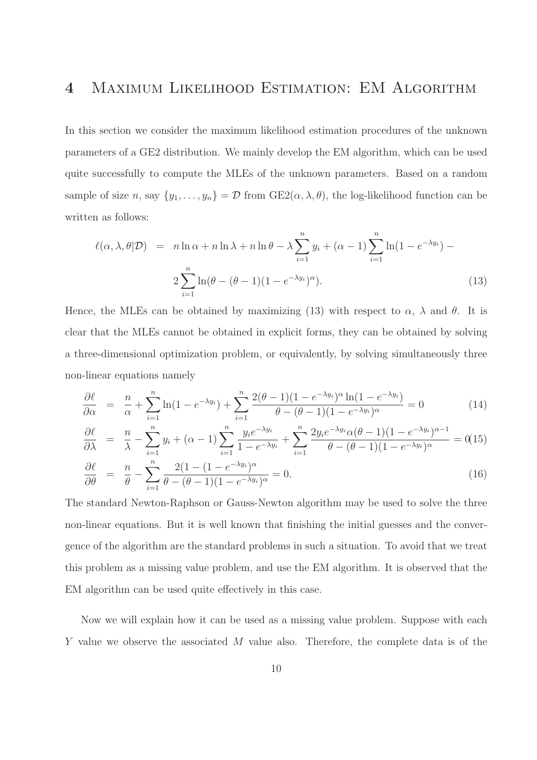### 4 Maximum Likelihood Estimation: EM Algorithm

In this section we consider the maximum likelihood estimation procedures of the unknown parameters of a GE2 distribution. We mainly develop the EM algorithm, which can be used quite successfully to compute the MLEs of the unknown parameters. Based on a random sample of size n, say  $\{y_1, \ldots, y_n\} = \mathcal{D}$  from  $GE2(\alpha, \lambda, \theta)$ , the log-likelihood function can be written as follows:

$$
\ell(\alpha, \lambda, \theta | \mathcal{D}) = n \ln \alpha + n \ln \lambda + n \ln \theta - \lambda \sum_{i=1}^{n} y_i + (\alpha - 1) \sum_{i=1}^{n} \ln(1 - e^{-\lambda y_i}) - 2 \sum_{i=1}^{n} \ln(\theta - (\theta - 1)(1 - e^{-\lambda y_i})^{\alpha}).
$$
\n(13)

Hence, the MLEs can be obtained by maximizing (13) with respect to  $\alpha$ ,  $\lambda$  and  $\theta$ . It is clear that the MLEs cannot be obtained in explicit forms, they can be obtained by solving a three-dimensional optimization problem, or equivalently, by solving simultaneously three non-linear equations namely

$$
\frac{\partial \ell}{\partial \alpha} = \frac{n}{\alpha} + \sum_{i=1}^{n} \ln(1 - e^{-\lambda y_i}) + \sum_{i=1}^{n} \frac{2(\theta - 1)(1 - e^{-\lambda y_i})^{\alpha} \ln(1 - e^{-\lambda y_i})}{\theta - (\theta - 1)(1 - e^{-\lambda y_i})^{\alpha}} = 0
$$
\n(14)

$$
\frac{\partial \ell}{\partial \lambda} = \frac{n}{\lambda} - \sum_{i=1}^{n} y_i + (\alpha - 1) \sum_{i=1}^{n} \frac{y_i e^{-\lambda y_i}}{1 - e^{-\lambda y_i}} + \sum_{i=1}^{n} \frac{2y_i e^{-\lambda y_i} \alpha (\theta - 1)(1 - e^{-\lambda y_i})^{\alpha - 1}}{\theta - (\theta - 1)(1 - e^{-\lambda y_i})^{\alpha}} = 0
$$
(15)

$$
\frac{\partial \ell}{\partial \theta} = \frac{n}{\theta} - \sum_{i=1}^{n} \frac{2(1 - (1 - e^{-\lambda y_i})^{\alpha}}{\theta - (\theta - 1)(1 - e^{-\lambda y_i})^{\alpha}} = 0.
$$
\n(16)

The standard Newton-Raphson or Gauss-Newton algorithm may be used to solve the three non-linear equations. But it is well known that finishing the initial guesses and the convergence of the algorithm are the standard problems in such a situation. To avoid that we treat this problem as a missing value problem, and use the EM algorithm. It is observed that the EM algorithm can be used quite effectively in this case.

Now we will explain how it can be used as a missing value problem. Suppose with each Y value we observe the associated M value also. Therefore, the complete data is of the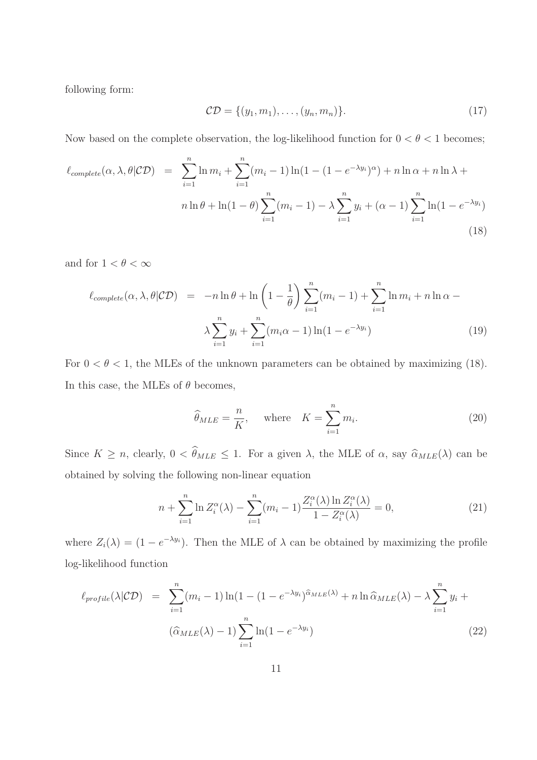following form:

$$
\mathcal{CD} = \{ (y_1, m_1), \dots, (y_n, m_n) \}. \tag{17}
$$

Now based on the complete observation, the log-likelihood function for  $0 < \theta < 1$  becomes;

$$
\ell_{complete}(\alpha,\lambda,\theta|\mathcal{CD}) = \sum_{i=1}^{n} \ln m_i + \sum_{i=1}^{n} (m_i - 1) \ln(1 - (1 - e^{-\lambda y_i})^{\alpha}) + n \ln \alpha + n \ln \lambda + n \ln \beta + \ln(1 - \theta) \sum_{i=1}^{n} (m_i - 1) - \lambda \sum_{i=1}^{n} y_i + (\alpha - 1) \sum_{i=1}^{n} \ln(1 - e^{-\lambda y_i})
$$
\n(18)

and for  $1 < \theta < \infty$ 

$$
\ell_{complete}(\alpha, \lambda, \theta | CD) = -n \ln \theta + \ln \left( 1 - \frac{1}{\theta} \right) \sum_{i=1}^{n} (m_i - 1) + \sum_{i=1}^{n} \ln m_i + n \ln \alpha - \lambda \sum_{i=1}^{n} y_i + \sum_{i=1}^{n} (m_i \alpha - 1) \ln (1 - e^{-\lambda y_i}) \tag{19}
$$

For  $0 < \theta < 1$ , the MLEs of the unknown parameters can be obtained by maximizing (18). In this case, the MLEs of  $\theta$  becomes,

$$
\widehat{\theta}_{MLE} = \frac{n}{K}, \quad \text{where} \quad K = \sum_{i=1}^{n} m_i. \tag{20}
$$

Since  $K \ge n$ , clearly,  $0 < \hat{\theta}_{MLE} \le 1$ . For a given  $\lambda$ , the MLE of  $\alpha$ , say  $\hat{\alpha}_{MLE}(\lambda)$  can be obtained by solving the following non-linear equation

$$
n + \sum_{i=1}^{n} \ln Z_i^{\alpha}(\lambda) - \sum_{i=1}^{n} (m_i - 1) \frac{Z_i^{\alpha}(\lambda) \ln Z_i^{\alpha}(\lambda)}{1 - Z_i^{\alpha}(\lambda)} = 0,
$$
 (21)

where  $Z_i(\lambda) = (1 - e^{-\lambda y_i})$ . Then the MLE of  $\lambda$  can be obtained by maximizing the profile log-likelihood function

$$
\ell_{profile}(\lambda|\mathcal{CD}) = \sum_{i=1}^{n} (m_i - 1) \ln(1 - (1 - e^{-\lambda y_i})^{\hat{\alpha}_{MLE}(\lambda)} + n \ln \hat{\alpha}_{MLE}(\lambda) - \lambda \sum_{i=1}^{n} y_i + (\hat{\alpha}_{MLE}(\lambda) - 1) \sum_{i=1}^{n} \ln(1 - e^{-\lambda y_i})
$$
\n(22)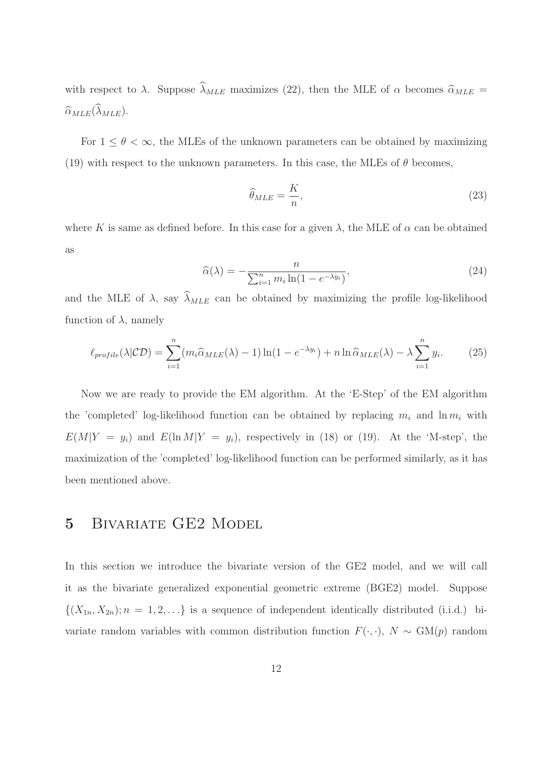with respect to  $\lambda$ . Suppose  $\widehat{\lambda}_{MLE}$  maximizes (22), then the MLE of  $\alpha$  becomes  $\widehat{\alpha}_{MLE}$  =  $\widehat{\alpha}_{MLE}(\widehat{\lambda}_{MLE}).$ 

For  $1 \leq \theta < \infty$ , the MLEs of the unknown parameters can be obtained by maximizing (19) with respect to the unknown parameters. In this case, the MLEs of  $\theta$  becomes,

$$
\widehat{\theta}_{MLE} = \frac{K}{n},\tag{23}
$$

where K is same as defined before. In this case for a given  $\lambda$ , the MLE of  $\alpha$  can be obtained as

$$
\widehat{\alpha}(\lambda) = -\frac{n}{\sum_{i=1}^{n} m_i \ln(1 - e^{-\lambda y_i})},\tag{24}
$$

and the MLE of  $\lambda$ , say  $\widehat{\lambda}_{MLE}$  can be obtained by maximizing the profile log-likelihood function of  $\lambda$ , namely

$$
\ell_{profile}(\lambda|\mathcal{CD}) = \sum_{i=1}^{n} (m_i \widehat{\alpha}_{MLE}(\lambda) - 1) \ln(1 - e^{-\lambda y_i}) + n \ln \widehat{\alpha}_{MLE}(\lambda) - \lambda \sum_{i=1}^{n} y_i.
$$
 (25)

Now we are ready to provide the EM algorithm. At the 'E-Step' of the EM algorithm the 'completed' log-likelihood function can be obtained by replacing  $m_i$  and  $\ln m_i$  with  $E(M|Y = y_i)$  and  $E(\ln M|Y = y_i)$ , respectively in (18) or (19). At the 'M-step', the maximization of the 'completed' log-likelihood function can be performed similarly, as it has been mentioned above.

### 5 BIVARIATE GE2 MODEL

In this section we introduce the bivariate version of the GE2 model, and we will call it as the bivariate generalized exponential geometric extreme (BGE2) model. Suppose  $\{(X_{1n}, X_{2n}); n = 1, 2, \ldots\}$  is a sequence of independent identically distributed (i.i.d.) bivariate random variables with common distribution function  $F(\cdot, \cdot)$ ,  $N \sim \text{GM}(p)$  random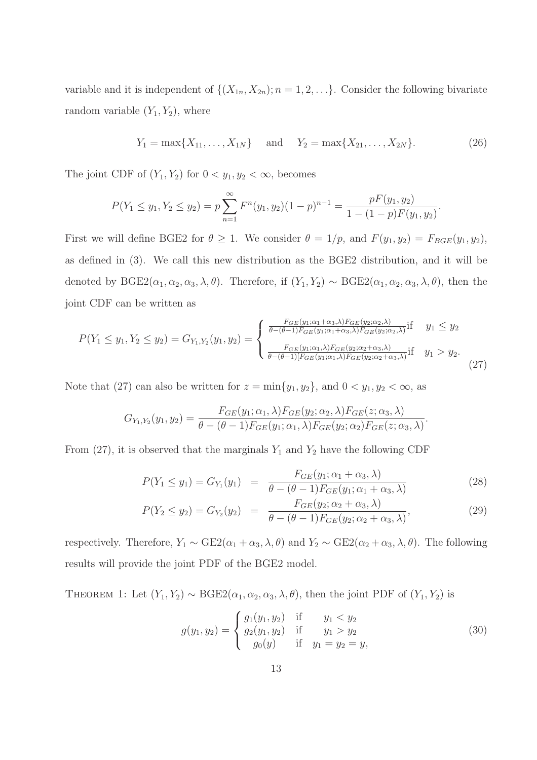variable and it is independent of  $\{(X_{1n}, X_{2n}); n = 1, 2, \ldots\}$ . Consider the following bivariate random variable  $(Y_1, Y_2)$ , where

$$
Y_1 = \max\{X_{11}, \ldots, X_{1N}\}\
$$
 and  $Y_2 = \max\{X_{21}, \ldots, X_{2N}\}.$  (26)

The joint CDF of  $(Y_1, Y_2)$  for  $0 < y_1, y_2 < \infty$ , becomes

$$
P(Y_1 \le y_1, Y_2 \le y_2) = p \sum_{n=1}^{\infty} F^n(y_1, y_2)(1-p)^{n-1} = \frac{pF(y_1, y_2)}{1 - (1-p)F(y_1, y_2)}.
$$

First we will define BGE2 for  $\theta \ge 1$ . We consider  $\theta = 1/p$ , and  $F(y_1, y_2) = F_{BGE}(y_1, y_2)$ , as defined in (3). We call this new distribution as the BGE2 distribution, and it will be denoted by  $BGE2(\alpha_1, \alpha_2, \alpha_3, \lambda, \theta)$ . Therefore, if  $(Y_1, Y_2) \sim BGE2(\alpha_1, \alpha_2, \alpha_3, \lambda, \theta)$ , then the joint CDF can be written as

$$
P(Y_1 \le y_1, Y_2 \le y_2) = G_{Y_1, Y_2}(y_1, y_2) = \begin{cases} \frac{F_{GE}(y_1; \alpha_1 + \alpha_3, \lambda)F_{GE}(y_2; \alpha_2, \lambda)}{\theta - (\theta - 1)F_{GE}(y_1; \alpha_1 + \alpha_3, \lambda)F_{GE}(y_2; \alpha_2, \lambda)} \text{if} & y_1 \le y_2\\ \frac{F_{GE}(y_1; \alpha_1, \lambda)F_{GE}(y_2; \alpha_2 + \alpha_3, \lambda)}{\theta - (\theta - 1)[F_{GE}(y_1; \alpha_1, \lambda)F_{GE}(y_2; \alpha_2 + \alpha_3, \lambda)} \text{if} & y_1 > y_2. \end{cases}
$$
(27)

Note that (27) can also be written for  $z = \min\{y_1, y_2\}$ , and  $0 < y_1, y_2 < \infty$ , as

$$
G_{Y_1,Y_2}(y_1,y_2)=\frac{F_{GE}(y_1;\alpha_1,\lambda)F_{GE}(y_2;\alpha_2,\lambda)F_{GE}(z;\alpha_3,\lambda)}{\theta-(\theta-1)F_{GE}(y_1;\alpha_1,\lambda)F_{GE}(y_2;\alpha_2)F_{GE}(z;\alpha_3,\lambda)}.
$$

From (27), it is observed that the marginals  $Y_1$  and  $Y_2$  have the following CDF

$$
P(Y_1 \le y_1) = G_{Y_1}(y_1) = \frac{F_{GE}(y_1; \alpha_1 + \alpha_3, \lambda)}{\theta - (\theta - 1)F_{GE}(y_1; \alpha_1 + \alpha_3, \lambda)}
$$
(28)

$$
P(Y_2 \le y_2) = G_{Y_2}(y_2) = \frac{F_{GE}(y_2; \alpha_2 + \alpha_3, \lambda)}{\theta - (\theta - 1)F_{GE}(y_2; \alpha_2 + \alpha_3, \lambda)},
$$
\n(29)

respectively. Therefore,  $Y_1 \sim \text{GE2}(\alpha_1 + \alpha_3, \lambda, \theta)$  and  $Y_2 \sim \text{GE2}(\alpha_2 + \alpha_3, \lambda, \theta)$ . The following results will provide the joint PDF of the BGE2 model.

THEOREM 1: Let  $(Y_1, Y_2) \sim \text{BGE2}(\alpha_1, \alpha_2, \alpha_3, \lambda, \theta)$ , then the joint PDF of  $(Y_1, Y_2)$  is

$$
g(y_1, y_2) = \begin{cases} g_1(y_1, y_2) & \text{if } y_1 < y_2 \\ g_2(y_1, y_2) & \text{if } y_1 > y_2 \\ g_0(y) & \text{if } y_1 = y_2 = y, \end{cases}
$$
 (30)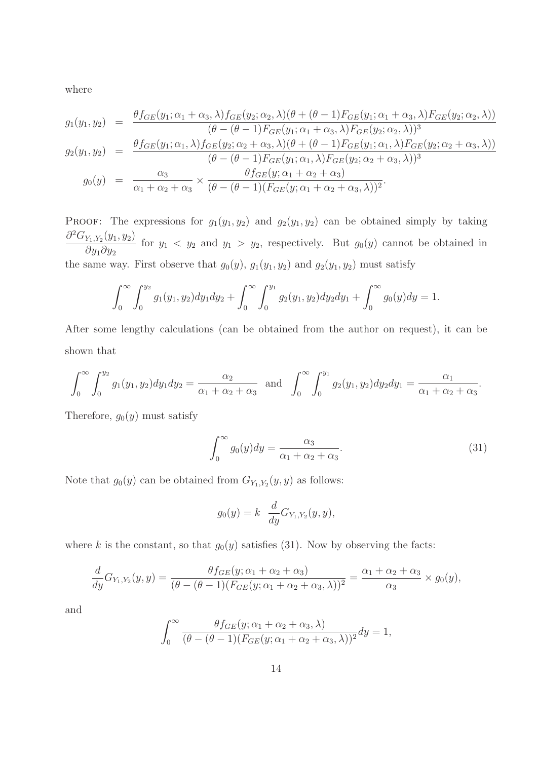where

$$
g_1(y_1, y_2) = \frac{\theta f_{GE}(y_1; \alpha_1 + \alpha_3, \lambda) f_{GE}(y_2; \alpha_2, \lambda)(\theta + (\theta - 1)F_{GE}(y_1; \alpha_1 + \alpha_3, \lambda)F_{GE}(y_2; \alpha_2, \lambda))}{(\theta - (\theta - 1)F_{GE}(y_1; \alpha_1 + \alpha_3, \lambda)F_{GE}(y_2; \alpha_2, \lambda))^3}
$$

$$
g_2(y_1, y_2) = \frac{\theta f_{GE}(y_1; \alpha_1, \lambda) f_{GE}(y_2; \alpha_2 + \alpha_3, \lambda)(\theta + (\theta - 1)F_{GE}(y_1; \alpha_1, \lambda)F_{GE}(y_2; \alpha_2 + \alpha_3, \lambda))}{(\theta - (\theta - 1)F_{GE}(y_1; \alpha_1, \lambda)F_{GE}(y_2; \alpha_2 + \alpha_3, \lambda))^3}
$$
  

$$
g_0(y) = \frac{\alpha_3}{\alpha_1 + \alpha_2 + \alpha_3} \times \frac{\theta f_{GE}(y; \alpha_1 + \alpha_2 + \alpha_3)}{(\theta - (\theta - 1)(F_{GE}(y; \alpha_1 + \alpha_2 + \alpha_3, \lambda))^2}.
$$

PROOF: The expressions for  $g_1(y_1, y_2)$  and  $g_2(y_1, y_2)$  can be obtained simply by taking  $\partial^2 G_{Y_1,Y_2}(y_1, y_2)$  $\partial y_1 \partial y_2$ for  $y_1 < y_2$  and  $y_1 > y_2$ , respectively. But  $g_0(y)$  cannot be obtained in the same way. First observe that  $g_0(y)$ ,  $g_1(y_1, y_2)$  and  $g_2(y_1, y_2)$  must satisfy

$$
\int_0^\infty \int_0^{y_2} g_1(y_1, y_2) dy_1 dy_2 + \int_0^\infty \int_0^{y_1} g_2(y_1, y_2) dy_2 dy_1 + \int_0^\infty g_0(y) dy = 1.
$$

After some lengthy calculations (can be obtained from the author on request), it can be shown that

$$
\int_0^\infty \int_0^{y_2} g_1(y_1, y_2) dy_1 dy_2 = \frac{\alpha_2}{\alpha_1 + \alpha_2 + \alpha_3} \text{ and } \int_0^\infty \int_0^{y_1} g_2(y_1, y_2) dy_2 dy_1 = \frac{\alpha_1}{\alpha_1 + \alpha_2 + \alpha_3}.
$$

Therefore,  $g_0(y)$  must satisfy

$$
\int_0^\infty g_0(y) dy = \frac{\alpha_3}{\alpha_1 + \alpha_2 + \alpha_3}.\tag{31}
$$

Note that  $g_0(y)$  can be obtained from  $G_{Y_1,Y_2}(y, y)$  as follows:

$$
g_0(y) = k \frac{d}{dy} G_{Y_1, Y_2}(y, y),
$$

where k is the constant, so that  $g_0(y)$  satisfies (31). Now by observing the facts:

$$
\frac{d}{dy}G_{Y_1,Y_2}(y,y) = \frac{\theta f_{GE}(y;\alpha_1 + \alpha_2 + \alpha_3)}{(\theta - (\theta - 1)(F_{GE}(y;\alpha_1 + \alpha_2 + \alpha_3, \lambda)))^2} = \frac{\alpha_1 + \alpha_2 + \alpha_3}{\alpha_3} \times g_0(y),
$$

and

$$
\int_0^\infty \frac{\theta f_{GE}(y; \alpha_1 + \alpha_2 + \alpha_3, \lambda)}{(\theta - (\theta - 1)(F_{GE}(y; \alpha_1 + \alpha_2 + \alpha_3, \lambda)))^2} dy = 1,
$$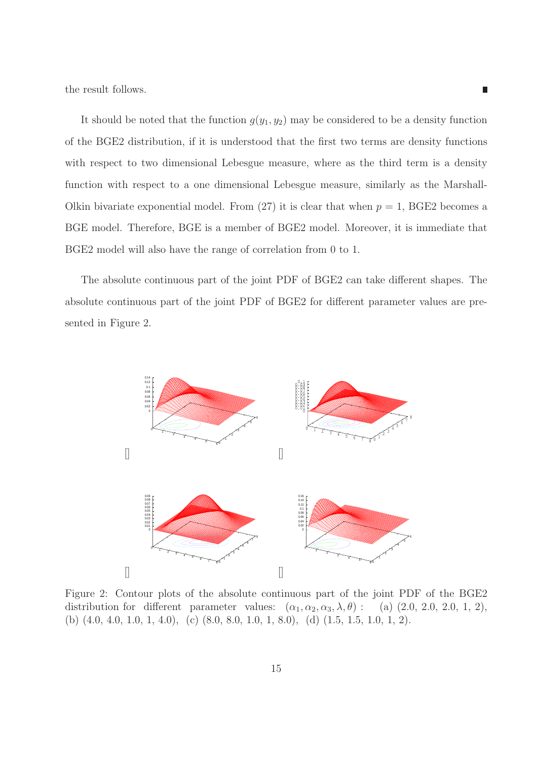the result follows.

It should be noted that the function  $g(y_1, y_2)$  may be considered to be a density function of the BGE2 distribution, if it is understood that the first two terms are density functions with respect to two dimensional Lebesgue measure, where as the third term is a density function with respect to a one dimensional Lebesgue measure, similarly as the Marshall-Olkin bivariate exponential model. From  $(27)$  it is clear that when  $p = 1$ , BGE2 becomes a BGE model. Therefore, BGE is a member of BGE2 model. Moreover, it is immediate that BGE2 model will also have the range of correlation from 0 to 1.

П

The absolute continuous part of the joint PDF of BGE2 can take different shapes. The absolute continuous part of the joint PDF of BGE2 for different parameter values are presented in Figure 2.



Figure 2: Contour plots of the absolute continuous part of the joint PDF of the BGE2 distribution for different parameter values:  $(\alpha_1, \alpha_2, \alpha_3, \lambda, \theta)$ : (a)  $(2.0, 2.0, 2.0, 1, 2)$ , (b) (4.0, 4.0, 1.0, 1, 4.0), (c) (8.0, 8.0, 1.0, 1, 8.0), (d) (1.5, 1.5, 1.0, 1, 2).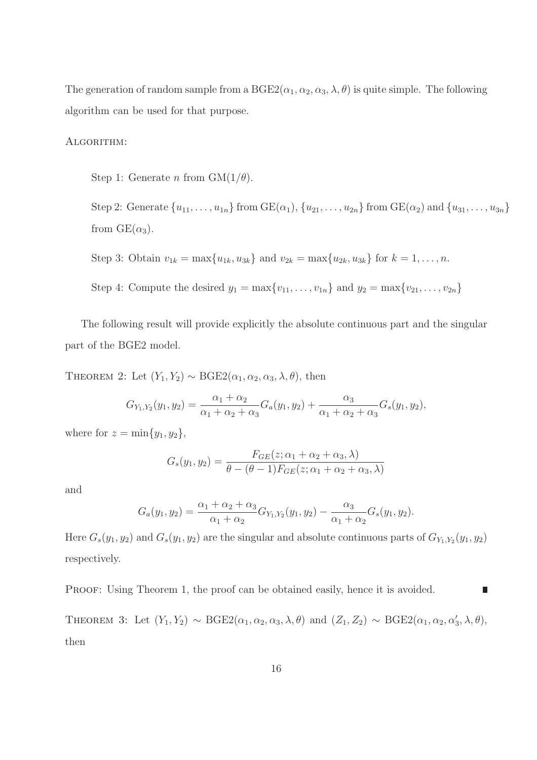The generation of random sample from a  $BGE2(\alpha_1, \alpha_2, \alpha_3, \lambda, \theta)$  is quite simple. The following algorithm can be used for that purpose.

#### ALGORITHM:

Step 1: Generate n from  $GM(1/\theta)$ .

Step 2: Generate  $\{u_{11}, \ldots, u_{1n}\}$  from  $\text{GE}(\alpha_1), \{u_{21}, \ldots, u_{2n}\}$  from  $\text{GE}(\alpha_2)$  and  $\{u_{31}, \ldots, u_{3n}\}$ from  $GE(\alpha_3)$ .

Step 3: Obtain 
$$
v_{1k} = \max\{u_{1k}, u_{3k}\}\
$$
 and  $v_{2k} = \max\{u_{2k}, u_{3k}\}\$  for  $k = 1, ..., n$ .

Step 4: Compute the desired  $y_1 = \max\{v_{11}, \ldots, v_{1n}\}\$  and  $y_2 = \max\{v_{21}, \ldots, v_{2n}\}\$ 

The following result will provide explicitly the absolute continuous part and the singular part of the BGE2 model.

THEOREM 2: Let  $(Y_1, Y_2) \sim \text{BGE2}(\alpha_1, \alpha_2, \alpha_3, \lambda, \theta)$ , then

$$
G_{Y_1,Y_2}(y_1, y_2) = \frac{\alpha_1 + \alpha_2}{\alpha_1 + \alpha_2 + \alpha_3} G_a(y_1, y_2) + \frac{\alpha_3}{\alpha_1 + \alpha_2 + \alpha_3} G_s(y_1, y_2),
$$

where for  $z = \min\{y_1, y_2\},\$ 

$$
G_s(y_1, y_2) = \frac{F_{GE}(z; \alpha_1 + \alpha_2 + \alpha_3, \lambda)}{\theta - (\theta - 1)F_{GE}(z; \alpha_1 + \alpha_2 + \alpha_3, \lambda)}
$$

and

$$
G_a(y_1, y_2) = \frac{\alpha_1 + \alpha_2 + \alpha_3}{\alpha_1 + \alpha_2} G_{Y_1, Y_2}(y_1, y_2) - \frac{\alpha_3}{\alpha_1 + \alpha_2} G_s(y_1, y_2).
$$

Here  $G_s(y_1, y_2)$  and  $G_s(y_1, y_2)$  are the singular and absolute continuous parts of  $G_{Y_1, Y_2}(y_1, y_2)$ respectively.

PROOF: Using Theorem 1, the proof can be obtained easily, hence it is avoided. П

THEOREM 3: Let  $(Y_1, Y_2) \sim \text{BGE2}(\alpha_1, \alpha_2, \alpha_3, \lambda, \theta)$  and  $(Z_1, Z_2) \sim \text{BGE2}(\alpha_1, \alpha_2, \alpha'_3, \lambda, \theta)$ , then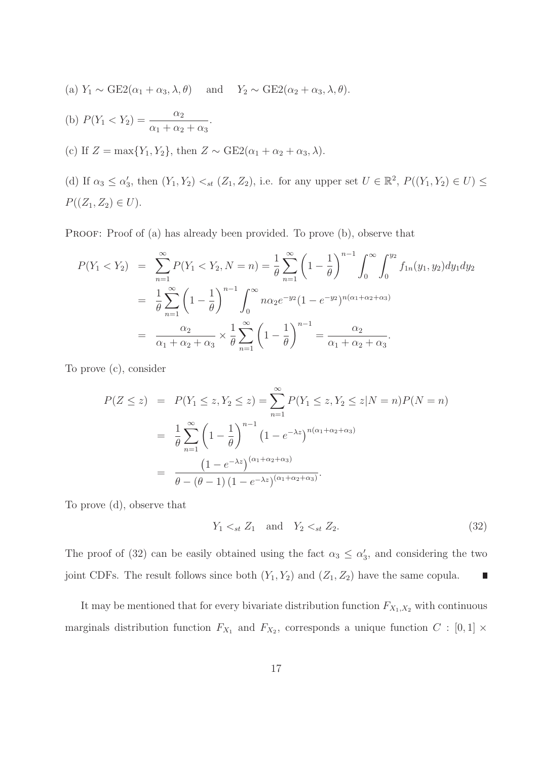(a) 
$$
Y_1 \sim \text{GE2}(\alpha_1 + \alpha_3, \lambda, \theta)
$$
 and  $Y_2 \sim \text{GE2}(\alpha_2 + \alpha_3, \lambda, \theta)$ .

(b) 
$$
P(Y_1 < Y_2) = \frac{\alpha_2}{\alpha_1 + \alpha_2 + \alpha_3}
$$
.

(c) If 
$$
Z = \max\{Y_1, Y_2\}
$$
, then  $Z \sim \text{GE2}(\alpha_1 + \alpha_2 + \alpha_3, \lambda)$ .

(d) If  $\alpha_3 \leq \alpha'_3$ , then  $(Y_1, Y_2) \lt_{st} (Z_1, Z_2)$ , i.e. for any upper set  $U \in \mathbb{R}^2$ ,  $P((Y_1, Y_2) \in U) \leq$  $P((Z_1, Z_2) \in U).$ 

PROOF: Proof of (a) has already been provided. To prove (b), observe that

$$
P(Y_1 < Y_2) = \sum_{n=1}^{\infty} P(Y_1 < Y_2, N = n) = \frac{1}{\theta} \sum_{n=1}^{\infty} \left( 1 - \frac{1}{\theta} \right)^{n-1} \int_0^{\infty} \int_0^{y_2} f_{1n}(y_1, y_2) dy_1 dy_2
$$
\n
$$
= \frac{1}{\theta} \sum_{n=1}^{\infty} \left( 1 - \frac{1}{\theta} \right)^{n-1} \int_0^{\infty} n \alpha_2 e^{-y_2} (1 - e^{-y_2})^{n(\alpha_1 + \alpha_2 + \alpha_3)}
$$
\n
$$
= \frac{\alpha_2}{\alpha_1 + \alpha_2 + \alpha_3} \times \frac{1}{\theta} \sum_{n=1}^{\infty} \left( 1 - \frac{1}{\theta} \right)^{n-1} = \frac{\alpha_2}{\alpha_1 + \alpha_2 + \alpha_3}.
$$

To prove (c), consider

$$
P(Z \le z) = P(Y_1 \le z, Y_2 \le z) = \sum_{n=1}^{\infty} P(Y_1 \le z, Y_2 \le z | N = n) P(N = n)
$$
  
= 
$$
\frac{1}{\theta} \sum_{n=1}^{\infty} \left(1 - \frac{1}{\theta}\right)^{n-1} \left(1 - e^{-\lambda z}\right)^{n(\alpha_1 + \alpha_2 + \alpha_3)}
$$
  
= 
$$
\frac{\left(1 - e^{-\lambda z}\right)^{(\alpha_1 + \alpha_2 + \alpha_3)}}{\theta - (\theta - 1)\left(1 - e^{-\lambda z}\right)^{(\alpha_1 + \alpha_2 + \alpha_3)}}.
$$

To prove (d), observe that

$$
Y_1 \lt_{st} Z_1 \quad \text{and} \quad Y_2 \lt_{st} Z_2. \tag{32}
$$

The proof of (32) can be easily obtained using the fact  $\alpha_3 \leq \alpha'_3$ , and considering the two joint CDFs. The result follows since both  $(Y_1, Y_2)$  and  $(Z_1, Z_2)$  have the same copula. L

It may be mentioned that for every bivariate distribution function  $F_{X_1,X_2}$  with continuous marginals distribution function  $F_{X_1}$  and  $F_{X_2}$ , corresponds a unique function  $C : [0,1] \times$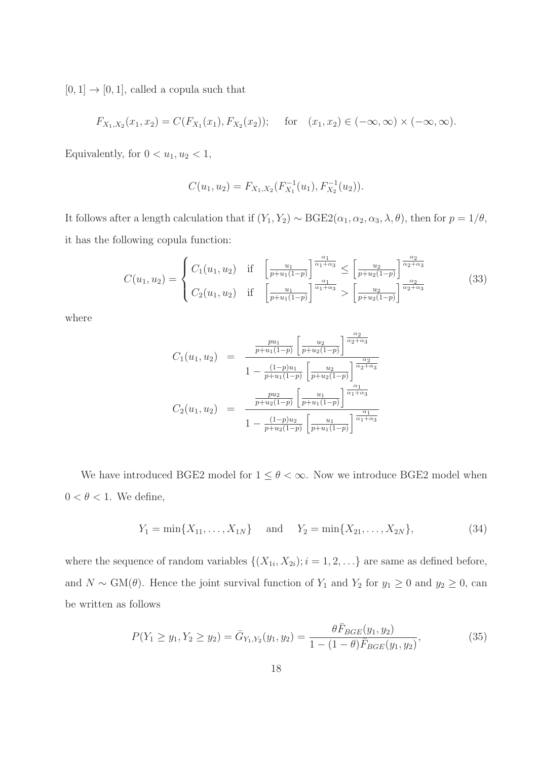$[0,1] \rightarrow [0,1],$  called a copula such that

$$
F_{X_1,X_2}(x_1,x_2) = C(F_{X_1}(x_1), F_{X_2}(x_2)); \text{ for } (x_1,x_2) \in (-\infty, \infty) \times (-\infty, \infty).
$$

Equivalently, for  $0 < u_1, u_2 < 1$ ,

$$
C(u_1, u_2) = F_{X_1, X_2}(F_{X_1}^{-1}(u_1), F_{X_2}^{-1}(u_2)).
$$

It follows after a length calculation that if  $(Y_1, Y_2) \sim \text{BGE2}(\alpha_1, \alpha_2, \alpha_3, \lambda, \theta)$ , then for  $p = 1/\theta$ , it has the following copula function:

$$
C(u_1, u_2) = \begin{cases} C_1(u_1, u_2) & \text{if } \left[\frac{u_1}{p+u_1(1-p)}\right]^{\frac{\alpha_1}{\alpha_1+\alpha_3}} \le \left[\frac{u_2}{p+u_2(1-p)}\right]^{\frac{\alpha_2}{\alpha_2+\alpha_3}}\\ C_2(u_1, u_2) & \text{if } \left[\frac{u_1}{p+u_1(1-p)}\right]^{\frac{\alpha_1}{\alpha_1+\alpha_3}} > \left[\frac{u_2}{p+u_2(1-p)}\right]^{\frac{\alpha_2}{\alpha_2+\alpha_3}} \end{cases} \tag{33}
$$

where

$$
C_1(u_1, u_2) = \frac{\frac{pu_1}{p+u_1(1-p)} \left[\frac{u_2}{p+u_2(1-p)}\right]^{\frac{\alpha_2}{\alpha_2+\alpha_3}}}{1 - \frac{(1-p)u_1}{p+u_1(1-p)} \left[\frac{u_2}{p+u_2(1-p)}\right]^{\frac{\alpha_2}{\alpha_2+\alpha_3}}}
$$

$$
C_2(u_1, u_2) = \frac{\frac{pu_2}{p+u_2(1-p)} \left[\frac{u_1}{p+u_1(1-p)}\right]^{\frac{\alpha_1}{\alpha_1+\alpha_3}}}{1 - \frac{(1-p)u_2}{p+u_2(1-p)} \left[\frac{u_1}{p+u_1(1-p)}\right]^{\frac{\alpha_1}{\alpha_1+\alpha_3}}}
$$

We have introduced BGE2 model for  $1 \leq \theta < \infty$ . Now we introduce BGE2 model when  $0 < \theta < 1$ . We define,

$$
Y_1 = \min\{X_{11}, \ldots, X_{1N}\}\
$$
 and  $Y_2 = \min\{X_{21}, \ldots, X_{2N}\},$  (34)

where the sequence of random variables  $\{(X_{1i}, X_{2i}); i = 1, 2, \ldots\}$  are same as defined before, and  $N \sim GM(\theta)$ . Hence the joint survival function of  $Y_1$  and  $Y_2$  for  $y_1 \ge 0$  and  $y_2 \ge 0$ , can be written as follows

$$
P(Y_1 \ge y_1, Y_2 \ge y_2) = \bar{G}_{Y_1, Y_2}(y_1, y_2) = \frac{\theta \bar{F}_{BGE}(y_1, y_2)}{1 - (1 - \theta)\bar{F}_{BGE}(y_1, y_2)},
$$
(35)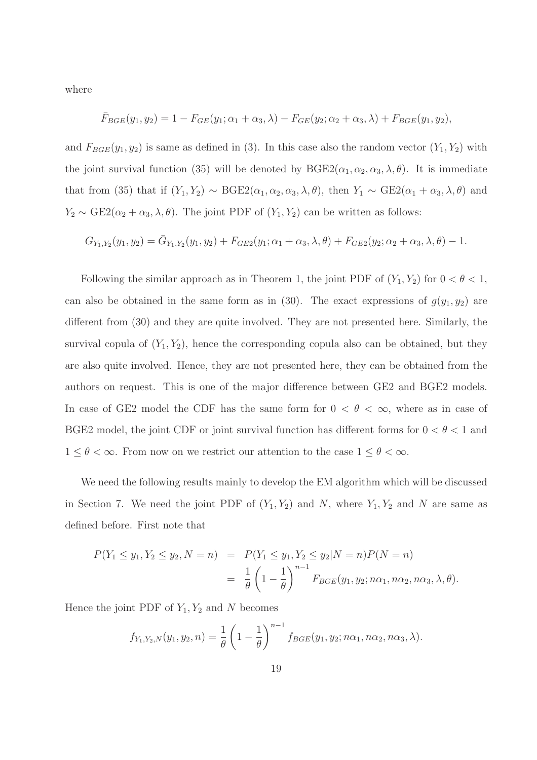where

$$
\bar{F}_{BGE}(y_1, y_2) = 1 - F_{GE}(y_1; \alpha_1 + \alpha_3, \lambda) - F_{GE}(y_2; \alpha_2 + \alpha_3, \lambda) + F_{BGE}(y_1, y_2),
$$

and  $F_{BGE}(y_1, y_2)$  is same as defined in (3). In this case also the random vector  $(Y_1, Y_2)$  with the joint survival function (35) will be denoted by  $BGE2(\alpha_1, \alpha_2, \alpha_3, \lambda, \theta)$ . It is immediate that from (35) that if  $(Y_1, Y_2) \sim \text{BGE2}(\alpha_1, \alpha_2, \alpha_3, \lambda, \theta)$ , then  $Y_1 \sim \text{GE2}(\alpha_1 + \alpha_3, \lambda, \theta)$  and  $Y_2 \sim \text{GE2}(\alpha_2 + \alpha_3, \lambda, \theta)$ . The joint PDF of  $(Y_1, Y_2)$  can be written as follows:

$$
G_{Y_1,Y_2}(y_1, y_2) = \bar{G}_{Y_1,Y_2}(y_1, y_2) + F_{GE2}(y_1; \alpha_1 + \alpha_3, \lambda, \theta) + F_{GE2}(y_2; \alpha_2 + \alpha_3, \lambda, \theta) - 1.
$$

Following the similar approach as in Theorem 1, the joint PDF of  $(Y_1, Y_2)$  for  $0 < \theta < 1$ , can also be obtained in the same form as in (30). The exact expressions of  $g(y_1, y_2)$  are different from (30) and they are quite involved. They are not presented here. Similarly, the survival copula of  $(Y_1, Y_2)$ , hence the corresponding copula also can be obtained, but they are also quite involved. Hence, they are not presented here, they can be obtained from the authors on request. This is one of the major difference between GE2 and BGE2 models. In case of GE2 model the CDF has the same form for  $0 < \theta < \infty$ , where as in case of BGE2 model, the joint CDF or joint survival function has different forms for  $0 < \theta < 1$  and  $1 \leq \theta < \infty$ . From now on we restrict our attention to the case  $1 \leq \theta < \infty$ .

We need the following results mainly to develop the EM algorithm which will be discussed in Section 7. We need the joint PDF of  $(Y_1, Y_2)$  and N, where  $Y_1, Y_2$  and N are same as defined before. First note that

$$
P(Y_1 \le y_1, Y_2 \le y_2, N = n) = P(Y_1 \le y_1, Y_2 \le y_2 | N = n) P(N = n)
$$
  
=  $\frac{1}{\theta} \left(1 - \frac{1}{\theta}\right)^{n-1} F_{BGE}(y_1, y_2; n\alpha_1, n\alpha_2, n\alpha_3, \lambda, \theta).$ 

Hence the joint PDF of  $Y_1, Y_2$  and N becomes

$$
f_{Y_1,Y_2,N}(y_1, y_2, n) = \frac{1}{\theta} \left( 1 - \frac{1}{\theta} \right)^{n-1} f_{BGE}(y_1, y_2; n\alpha_1, n\alpha_2, n\alpha_3, \lambda).
$$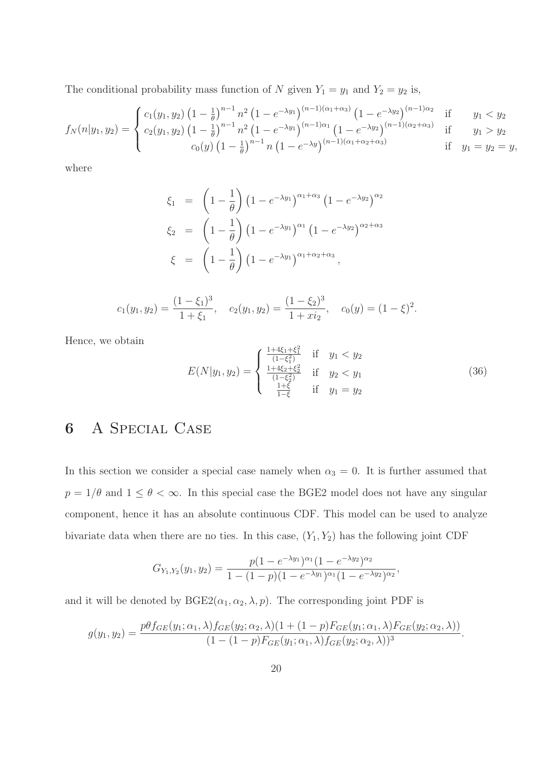The conditional probability mass function of N given  $Y_1 = y_1$  and  $Y_2 = y_2$  is,

$$
f_N(n|y_1, y_2) = \begin{cases} c_1(y_1, y_2) \left(1 - \frac{1}{\theta}\right)^{n-1} n^2 \left(1 - e^{-\lambda y_1}\right)^{(n-1)(\alpha_1 + \alpha_3)} \left(1 - e^{-\lambda y_2}\right)^{(n-1)\alpha_2} & \text{if } y_1 < y_2 \\ c_2(y_1, y_2) \left(1 - \frac{1}{\theta}\right)^{n-1} n^2 \left(1 - e^{-\lambda y_1}\right)^{(n-1)\alpha_1} \left(1 - e^{-\lambda y_2}\right)^{(n-1)(\alpha_2 + \alpha_3)} & \text{if } y_1 > y_2 \\ c_0(y) \left(1 - \frac{1}{\theta}\right)^{n-1} n \left(1 - e^{-\lambda y}\right)^{(n-1)(\alpha_1 + \alpha_2 + \alpha_3)} & \text{if } y_1 = y_2 = y, \end{cases}
$$

where

$$
\xi_1 = \left(1 - \frac{1}{\theta}\right) \left(1 - e^{-\lambda y_1}\right)^{\alpha_1 + \alpha_3} \left(1 - e^{-\lambda y_2}\right)^{\alpha_2}
$$

$$
\xi_2 = \left(1 - \frac{1}{\theta}\right) \left(1 - e^{-\lambda y_1}\right)^{\alpha_1} \left(1 - e^{-\lambda y_2}\right)^{\alpha_2 + \alpha_3}
$$

$$
\xi = \left(1 - \frac{1}{\theta}\right) \left(1 - e^{-\lambda y_1}\right)^{\alpha_1 + \alpha_2 + \alpha_3},
$$

$$
c_1(y_1, y_2) = \frac{(1 - \xi_1)^3}{1 + \xi_1}, \quad c_2(y_1, y_2) = \frac{(1 - \xi_2)^3}{1 + xi_2}, \quad c_0(y) = (1 - \xi)^2.
$$

Hence, we obtain

$$
E(N|y_1, y_2) = \begin{cases} \frac{1+4\xi_1 + \xi_1^2}{(1-\xi_1^2)} & \text{if } y_1 < y_2\\ \frac{1+4\xi_2 + \xi_2^2}{(1-\xi_2^2)} & \text{if } y_2 < y_1\\ \frac{1+\xi}{1-\xi} & \text{if } y_1 = y_2 \end{cases}
$$
(36)

## 6 A Special Case

In this section we consider a special case namely when  $\alpha_3 = 0$ . It is further assumed that  $p = 1/\theta$  and  $1 \le \theta < \infty$ . In this special case the BGE2 model does not have any singular component, hence it has an absolute continuous CDF. This model can be used to analyze bivariate data when there are no ties. In this case,  $(Y_1, Y_2)$  has the following joint CDF

$$
G_{Y_1,Y_2}(y_1,y_2)=\frac{p(1-e^{-\lambda y_1})^{\alpha_1}(1-e^{-\lambda y_2})^{\alpha_2}}{1-(1-p)(1-e^{-\lambda y_1})^{\alpha_1}(1-e^{-\lambda y_2})^{\alpha_2}},
$$

and it will be denoted by  $BGE2(\alpha_1, \alpha_2, \lambda, p)$ . The corresponding joint PDF is

$$
g(y_1, y_2) = \frac{p\theta f_{GE}(y_1; \alpha_1, \lambda) f_{GE}(y_2; \alpha_2, \lambda)(1 + (1 - p)F_{GE}(y_1; \alpha_1, \lambda)F_{GE}(y_2; \alpha_2, \lambda))}{(1 - (1 - p)F_{GE}(y_1; \alpha_1, \lambda) f_{GE}(y_2; \alpha_2, \lambda))^3}.
$$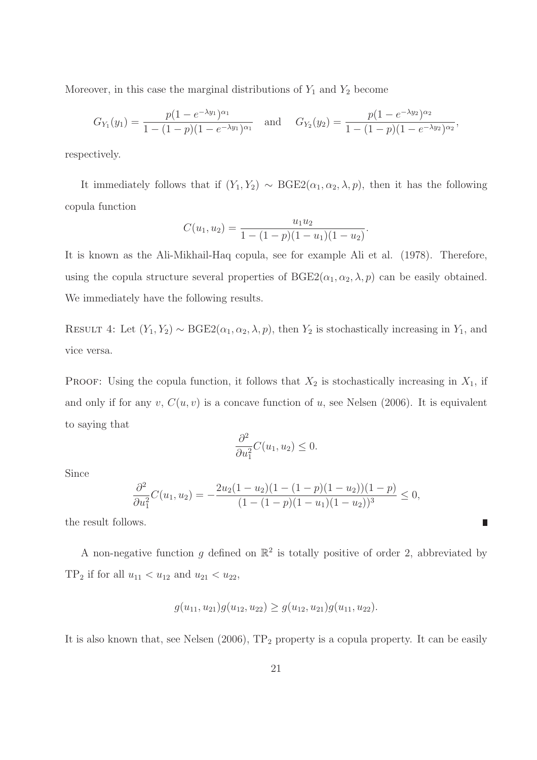Moreover, in this case the marginal distributions of  $Y_1$  and  $Y_2$  become

$$
G_{Y_1}(y_1) = \frac{p(1 - e^{-\lambda y_1})^{\alpha_1}}{1 - (1 - p)(1 - e^{-\lambda y_1})^{\alpha_1}} \quad \text{and} \quad G_{Y_2}(y_2) = \frac{p(1 - e^{-\lambda y_2})^{\alpha_2}}{1 - (1 - p)(1 - e^{-\lambda y_2})^{\alpha_2}}
$$

,

 $\blacksquare$ 

respectively.

It immediately follows that if  $(Y_1, Y_2) \sim \text{BGE2}(\alpha_1, \alpha_2, \lambda, p)$ , then it has the following copula function

$$
C(u_1, u_2) = \frac{u_1 u_2}{1 - (1 - p)(1 - u_1)(1 - u_2)}.
$$

It is known as the Ali-Mikhail-Haq copula, see for example Ali et al. (1978). Therefore, using the copula structure several properties of  $BGE2(\alpha_1, \alpha_2, \lambda, p)$  can be easily obtained. We immediately have the following results.

RESULT 4: Let  $(Y_1, Y_2) \sim \text{BGE2}(\alpha_1, \alpha_2, \lambda, p)$ , then  $Y_2$  is stochastically increasing in  $Y_1$ , and vice versa.

PROOF: Using the copula function, it follows that  $X_2$  is stochastically increasing in  $X_1$ , if and only if for any v,  $C(u, v)$  is a concave function of u, see Nelsen (2006). It is equivalent to saying that

$$
\frac{\partial^2}{\partial u_1^2}C(u_1, u_2) \le 0.
$$

Since

$$
\frac{\partial^2}{\partial u_1^2}C(u_1, u_2) = -\frac{2u_2(1 - u_2)(1 - (1 - p)(1 - u_2))(1 - p)}{(1 - (1 - p)(1 - u_1)(1 - u_2))^3} \le 0,
$$

the result follows.

A non-negative function g defined on  $\mathbb{R}^2$  is totally positive of order 2, abbreviated by TP<sub>2</sub> if for all  $u_{11} < u_{12}$  and  $u_{21} < u_{22}$ ,

$$
g(u_{11}, u_{21})g(u_{12}, u_{22}) \ge g(u_{12}, u_{21})g(u_{11}, u_{22}).
$$

It is also known that, see Nelsen  $(2006)$ ,  $TP_2$  property is a copula property. It can be easily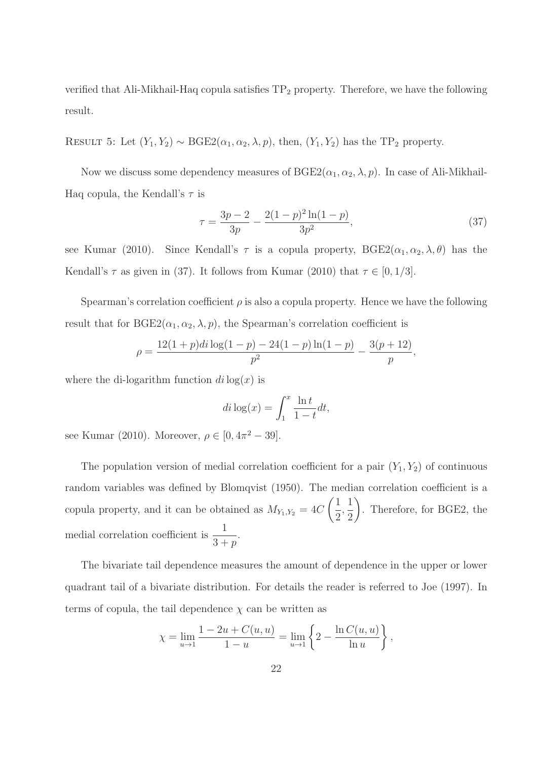verified that Ali-Mikhail-Haq copula satisfies  $TP_2$  property. Therefore, we have the following result.

RESULT 5: Let  $(Y_1, Y_2) \sim \text{BGE2}(\alpha_1, \alpha_2, \lambda, p)$ , then,  $(Y_1, Y_2)$  has the TP<sub>2</sub> property.

Now we discuss some dependency measures of  $BGE2(\alpha_1, \alpha_2, \lambda, p)$ . In case of Ali-Mikhail-Haq copula, the Kendall's  $\tau$  is

$$
\tau = \frac{3p - 2}{3p} - \frac{2(1 - p)^2 \ln(1 - p)}{3p^2},\tag{37}
$$

see Kumar (2010). Since Kendall's  $\tau$  is a copula property,  $BGE2(\alpha_1, \alpha_2, \lambda, \theta)$  has the Kendall's  $\tau$  as given in (37). It follows from Kumar (2010) that  $\tau \in [0, 1/3]$ .

Spearman's correlation coefficient  $\rho$  is also a copula property. Hence we have the following result that for  $BGE2(\alpha_1, \alpha_2, \lambda, p)$ , the Spearman's correlation coefficient is

$$
\rho = \frac{12(1+p)di\log(1-p) - 24(1-p)\ln(1-p)}{p^2} - \frac{3(p+12)}{p},
$$

where the di-logarithm function  $di \log(x)$  is

$$
di\log(x) = \int_1^x \frac{\ln t}{1-t} dt,
$$

see Kumar (2010). Moreover,  $\rho \in [0, 4\pi^2 - 39]$ .

The population version of medial correlation coefficient for a pair  $(Y_1, Y_2)$  of continuous random variables was defined by Blomqvist (1950). The median correlation coefficient is a copula property, and it can be obtained as  $M_{Y_1,Y_2} = 4C$  $(1)$ 2 , 1 2  $\setminus$ . Therefore, for BGE2, the medial correlation coefficient is  $\frac{1}{2}$  $3+p$ .

The bivariate tail dependence measures the amount of dependence in the upper or lower quadrant tail of a bivariate distribution. For details the reader is referred to Joe (1997). In terms of copula, the tail dependence  $\chi$  can be written as

$$
\chi = \lim_{u \to 1} \frac{1 - 2u + C(u, u)}{1 - u} = \lim_{u \to 1} \left\{ 2 - \frac{\ln C(u, u)}{\ln u} \right\},\,
$$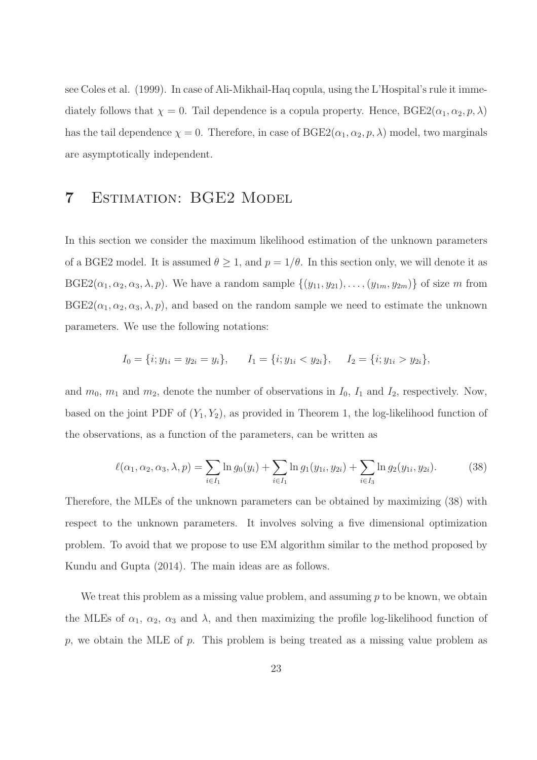see Coles et al. (1999). In case of Ali-Mikhail-Haq copula, using the L'Hospital's rule it immediately follows that  $\chi = 0$ . Tail dependence is a copula property. Hence,  $BGE2(\alpha_1, \alpha_2, p, \lambda)$ has the tail dependence  $\chi = 0$ . Therefore, in case of  $BGE2(\alpha_1, \alpha_2, p, \lambda)$  model, two marginals are asymptotically independent.

### 7 Estimation: BGE2 Model

In this section we consider the maximum likelihood estimation of the unknown parameters of a BGE2 model. It is assumed  $\theta \geq 1$ , and  $p = 1/\theta$ . In this section only, we will denote it as  $BGE2(\alpha_1, \alpha_2, \alpha_3, \lambda, p)$ . We have a random sample  $\{(y_{11}, y_{21}), \ldots, (y_{1m}, y_{2m})\}$  of size m from  $BGE2(\alpha_1, \alpha_2, \alpha_3, \lambda, p)$ , and based on the random sample we need to estimate the unknown parameters. We use the following notations:

$$
I_0 = \{i; y_{1i} = y_{2i} = y_i\}, \qquad I_1 = \{i; y_{1i} < y_{2i}\}, \qquad I_2 = \{i; y_{1i} > y_{2i}\},
$$

and  $m_0$ ,  $m_1$  and  $m_2$ , denote the number of observations in  $I_0$ ,  $I_1$  and  $I_2$ , respectively. Now, based on the joint PDF of  $(Y_1, Y_2)$ , as provided in Theorem 1, the log-likelihood function of the observations, as a function of the parameters, can be written as

$$
\ell(\alpha_1, \alpha_2, \alpha_3, \lambda, p) = \sum_{i \in I_1} \ln g_0(y_i) + \sum_{i \in I_1} \ln g_1(y_{1i}, y_{2i}) + \sum_{i \in I_3} \ln g_2(y_{1i}, y_{2i}).
$$
 (38)

Therefore, the MLEs of the unknown parameters can be obtained by maximizing (38) with respect to the unknown parameters. It involves solving a five dimensional optimization problem. To avoid that we propose to use EM algorithm similar to the method proposed by Kundu and Gupta (2014). The main ideas are as follows.

We treat this problem as a missing value problem, and assuming  $p$  to be known, we obtain the MLEs of  $\alpha_1, \alpha_2, \alpha_3$  and  $\lambda$ , and then maximizing the profile log-likelihood function of  $p$ , we obtain the MLE of  $p$ . This problem is being treated as a missing value problem as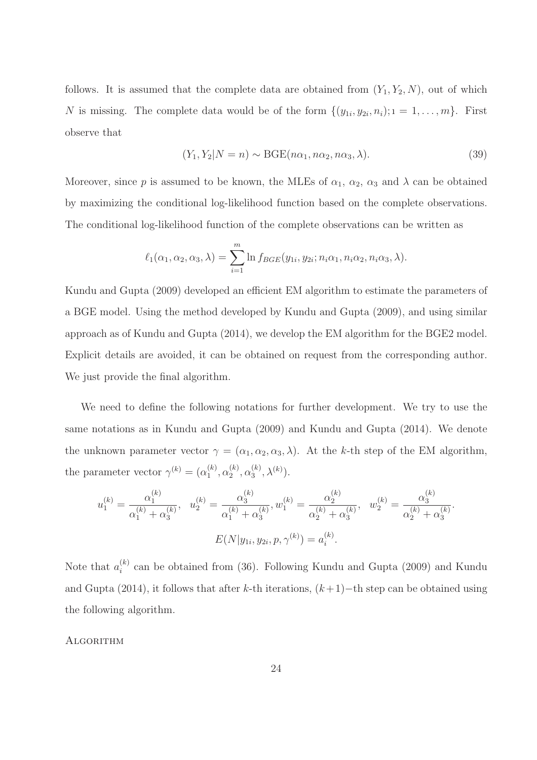follows. It is assumed that the complete data are obtained from  $(Y_1, Y_2, N)$ , out of which N is missing. The complete data would be of the form  $\{(y_{1i}, y_{2i}, n_i); i = 1, \ldots, m\}$ . First observe that

$$
(Y_1, Y_2 | N = n) \sim \text{BGE}(n\alpha_1, n\alpha_2, n\alpha_3, \lambda). \tag{39}
$$

Moreover, since p is assumed to be known, the MLEs of  $\alpha_1$ ,  $\alpha_2$ ,  $\alpha_3$  and  $\lambda$  can be obtained by maximizing the conditional log-likelihood function based on the complete observations. The conditional log-likelihood function of the complete observations can be written as

$$
\ell_1(\alpha_1, \alpha_2, \alpha_3, \lambda) = \sum_{i=1}^m \ln f_{BGE}(y_{1i}, y_{2i}; n_i \alpha_1, n_i \alpha_2, n_i \alpha_3, \lambda).
$$

Kundu and Gupta (2009) developed an efficient EM algorithm to estimate the parameters of a BGE model. Using the method developed by Kundu and Gupta (2009), and using similar approach as of Kundu and Gupta (2014), we develop the EM algorithm for the BGE2 model. Explicit details are avoided, it can be obtained on request from the corresponding author. We just provide the final algorithm.

We need to define the following notations for further development. We try to use the same notations as in Kundu and Gupta (2009) and Kundu and Gupta (2014). We denote the unknown parameter vector  $\gamma = (\alpha_1, \alpha_2, \alpha_3, \lambda)$ . At the k-th step of the EM algorithm, the parameter vector  $\gamma^{(k)} = (\alpha_1^{(k)})$  $\binom{k}{1}, \alpha_2^{(k)}$  $\binom{k}{2}, \alpha_3^{(k)}$  $\lambda^{(k)}, \lambda^{(k)}).$ 

$$
u_1^{(k)} = \frac{\alpha_1^{(k)}}{\alpha_1^{(k)} + \alpha_3^{(k)}}, \quad u_2^{(k)} = \frac{\alpha_3^{(k)}}{\alpha_1^{(k)} + \alpha_3^{(k)}}, \quad w_1^{(k)} = \frac{\alpha_2^{(k)}}{\alpha_2^{(k)} + \alpha_3^{(k)}}, \quad w_2^{(k)} = \frac{\alpha_3^{(k)}}{\alpha_2^{(k)} + \alpha_3^{(k)}}.
$$

$$
E(N|y_{1i}, y_{2i}, p, \gamma^{(k)}) = a_i^{(k)}.
$$

Note that  $a_i^{(k)}$  $\binom{k}{i}$  can be obtained from (36). Following Kundu and Gupta (2009) and Kundu and Gupta (2014), it follows that after k-th iterations,  $(k+1)$ −th step can be obtained using the following algorithm.

#### **ALGORITHM**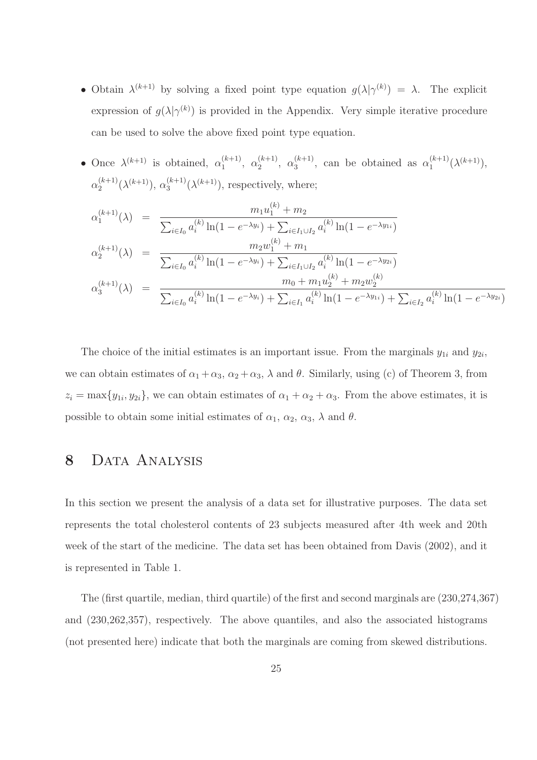- Obtain  $\lambda^{(k+1)}$  by solving a fixed point type equation  $g(\lambda|\gamma^{(k)}) = \lambda$ . The explicit expression of  $g(\lambda | \gamma^{(k)})$  is provided in the Appendix. Very simple iterative procedure can be used to solve the above fixed point type equation.
- Once  $\lambda^{(k+1)}$  is obtained,  $\alpha_1^{(k+1)}$  $\alpha_1^{(k+1)}, \alpha_2^{(k+1)}$  $\alpha_2^{(k+1)}, \alpha_3^{(k+1)}$  $\alpha_3^{(k+1)}$ , can be obtained as  $\alpha_1^{(k+1)}$  $\lambda^{(k+1)}(\lambda^{(k+1)}),$  $\alpha_2^{(k+1)}$  $\alpha_2^{(k+1)}(\lambda^{(k+1)}), \alpha_3^{(k+1)}$  $3^{(k+1)}(\lambda^{(k+1)})$ , respectively, where;

$$
\alpha_1^{(k+1)}(\lambda) = \frac{m_1 u_1^{(k)} + m_2}{\sum_{i \in I_0} a_i^{(k)} \ln(1 - e^{-\lambda y_i}) + \sum_{i \in I_1 \cup I_2} a_i^{(k)} \ln(1 - e^{-\lambda y_i})}
$$
  
\n
$$
\alpha_2^{(k+1)}(\lambda) = \frac{m_2 w_1^{(k)} + m_1}{\sum_{i \in I_0} a_i^{(k)} \ln(1 - e^{-\lambda y_i}) + \sum_{i \in I_1 \cup I_2} a_i^{(k)} \ln(1 - e^{-\lambda y_i})}
$$
  
\n
$$
\alpha_3^{(k+1)}(\lambda) = \frac{m_0 + m_1 u_2^{(k)} + m_2 w_2^{(k)}}{\sum_{i \in I_0} a_i^{(k)} \ln(1 - e^{-\lambda y_i}) + \sum_{i \in I_1} a_i^{(k)} \ln(1 - e^{-\lambda y_i}) + \sum_{i \in I_2} a_i^{(k)} \ln(1 - e^{-\lambda y_i})}
$$

The choice of the initial estimates is an important issue. From the marginals  $y_{1i}$  and  $y_{2i}$ , we can obtain estimates of  $\alpha_1 + \alpha_3$ ,  $\alpha_2 + \alpha_3$ ,  $\lambda$  and  $\theta$ . Similarly, using (c) of Theorem 3, from  $z_i = \max\{y_{1i}, y_{2i}\}\,$ , we can obtain estimates of  $\alpha_1 + \alpha_2 + \alpha_3$ . From the above estimates, it is possible to obtain some initial estimates of  $\alpha_1$ ,  $\alpha_2$ ,  $\alpha_3$ ,  $\lambda$  and  $\theta$ .

# 8 DATA ANALYSIS

In this section we present the analysis of a data set for illustrative purposes. The data set represents the total cholesterol contents of 23 subjects measured after 4th week and 20th week of the start of the medicine. The data set has been obtained from Davis (2002), and it is represented in Table 1.

The (first quartile, median, third quartile) of the first and second marginals are (230,274,367) and (230,262,357), respectively. The above quantiles, and also the associated histograms (not presented here) indicate that both the marginals are coming from skewed distributions.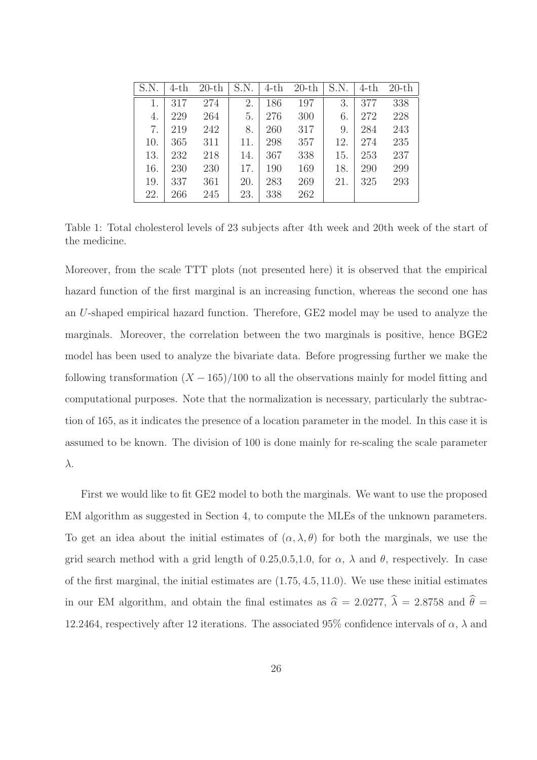| S.N | $4-th$ | $20$ -th | S.N. | $4-th$ | $20$ -th | S.N. | $4-th$ | $20$ -th |
|-----|--------|----------|------|--------|----------|------|--------|----------|
|     | 317    | 274      | 2.   | 186    | 197      | 3.   | 377    | 338      |
| 4.  | 229    | 264      | 5.   | 276    | 300      | 6.   | 272    | 228      |
| 7.  | 219    | 242      | 8.   | 260    | 317      | 9.   | 284    | 243      |
| 10. | 365    | 311      | 11.  | 298    | 357      | 12.  | 274    | 235      |
| 13. | 232    | 218      | 14.  | 367    | 338      | 15.  | 253    | 237      |
| 16. | 230    | 230      | 17.  | 190    | 169      | 18.  | 290    | 299      |
| 19. | 337    | 361      | 20.  | 283    | 269      | 21.  | 325    | 293      |
| 22. | 266    | 245      | 23.  | 338    | 262      |      |        |          |

Table 1: Total cholesterol levels of 23 subjects after 4th week and 20th week of the start of the medicine.

Moreover, from the scale TTT plots (not presented here) it is observed that the empirical hazard function of the first marginal is an increasing function, whereas the second one has an U-shaped empirical hazard function. Therefore, GE2 model may be used to analyze the marginals. Moreover, the correlation between the two marginals is positive, hence BGE2 model has been used to analyze the bivariate data. Before progressing further we make the following transformation  $(X - 165)/100$  to all the observations mainly for model fitting and computational purposes. Note that the normalization is necessary, particularly the subtraction of 165, as it indicates the presence of a location parameter in the model. In this case it is assumed to be known. The division of 100 is done mainly for re-scaling the scale parameter λ.

First we would like to fit GE2 model to both the marginals. We want to use the proposed EM algorithm as suggested in Section 4, to compute the MLEs of the unknown parameters. To get an idea about the initial estimates of  $(\alpha, \lambda, \theta)$  for both the marginals, we use the grid search method with a grid length of 0.25,0.5,1.0, for  $\alpha$ ,  $\lambda$  and  $\theta$ , respectively. In case of the first marginal, the initial estimates are (1.75, 4.5, 11.0). We use these initial estimates in our EM algorithm, and obtain the final estimates as  $\hat{\alpha} = 2.0277$ ,  $\hat{\lambda} = 2.8758$  and  $\hat{\theta} =$ 12.2464, respectively after 12 iterations. The associated 95% confidence intervals of  $\alpha$ ,  $\lambda$  and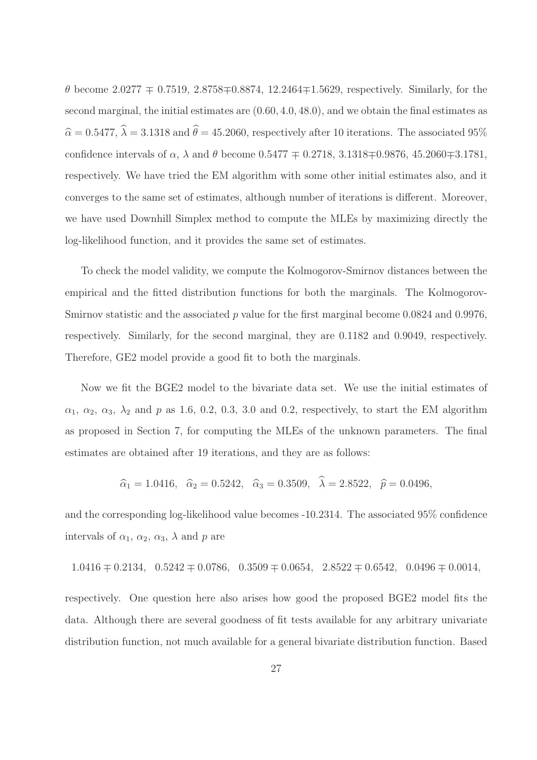θ become 2.0277 ∓ 0.7519, 2.8758∓0.8874, 12.2464∓1.5629, respectively. Similarly, for the second marginal, the initial estimates are (0.60, 4.0, 48.0), and we obtain the final estimates as  $\hat{\alpha} = 0.5477, \hat{\lambda} = 3.1318$  and  $\hat{\theta} = 45.2060$ , respectively after 10 iterations. The associated 95% confidence intervals of α, λ and θ become  $0.5477$   $\mp$   $0.2718$ ,  $3.1318\mp0.9876$ ,  $45.2060\mp3.1781$ , respectively. We have tried the EM algorithm with some other initial estimates also, and it converges to the same set of estimates, although number of iterations is different. Moreover, we have used Downhill Simplex method to compute the MLEs by maximizing directly the log-likelihood function, and it provides the same set of estimates.

To check the model validity, we compute the Kolmogorov-Smirnov distances between the empirical and the fitted distribution functions for both the marginals. The Kolmogorov-Smirnov statistic and the associated p value for the first marginal become  $0.0824$  and  $0.9976$ , respectively. Similarly, for the second marginal, they are 0.1182 and 0.9049, respectively. Therefore, GE2 model provide a good fit to both the marginals.

Now we fit the BGE2 model to the bivariate data set. We use the initial estimates of  $\alpha_1, \alpha_2, \alpha_3, \lambda_2$  and p as 1.6, 0.2, 0.3, 3.0 and 0.2, respectively, to start the EM algorithm as proposed in Section 7, for computing the MLEs of the unknown parameters. The final estimates are obtained after 19 iterations, and they are as follows:

$$
\hat{\alpha}_1 = 1.0416, \quad \hat{\alpha}_2 = 0.5242, \quad \hat{\alpha}_3 = 0.3509, \quad \hat{\lambda} = 2.8522, \quad \hat{p} = 0.0496,
$$

and the corresponding log-likelihood value becomes -10.2314. The associated 95% confidence intervals of  $\alpha_1$ ,  $\alpha_2$ ,  $\alpha_3$ ,  $\lambda$  and p are

$$
1.0416 \pm 0.2134
$$
,  $0.5242 \pm 0.0786$ ,  $0.3509 \pm 0.0654$ ,  $2.8522 \pm 0.6542$ ,  $0.0496 \pm 0.0014$ ,

respectively. One question here also arises how good the proposed BGE2 model fits the data. Although there are several goodness of fit tests available for any arbitrary univariate distribution function, not much available for a general bivariate distribution function. Based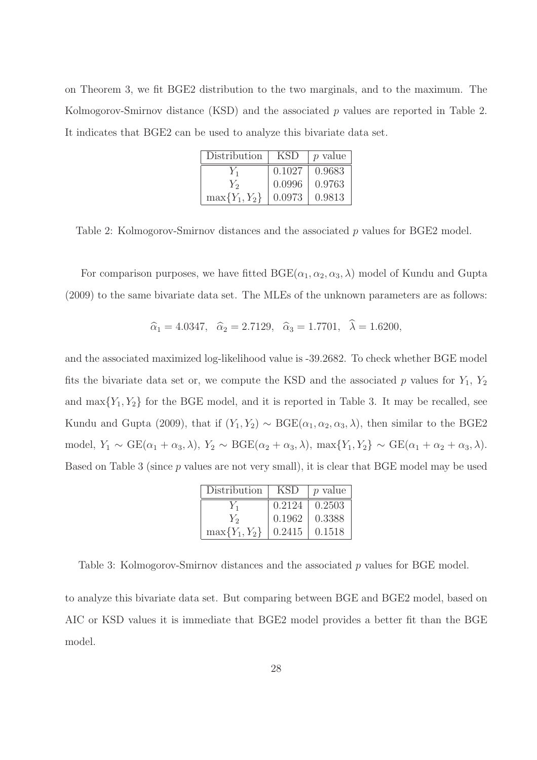on Theorem 3, we fit BGE2 distribution to the two marginals, and to the maximum. The Kolmogorov-Smirnov distance  $(KSD)$  and the associated p values are reported in Table 2. It indicates that BGE2 can be used to analyze this bivariate data set.

| Distribution       | <b>KSD</b> | <i>p</i> value |
|--------------------|------------|----------------|
|                    | 0.1027     | 0.9683         |
| Y <sub>2</sub>     | 0.0996     | 0.9763         |
| $\max\{Y_1, Y_2\}$ | 0.0973     | 0.9813         |

Table 2: Kolmogorov-Smirnov distances and the associated p values for BGE2 model.

For comparison purposes, we have fitted  $BGE(\alpha_1, \alpha_2, \alpha_3, \lambda)$  model of Kundu and Gupta (2009) to the same bivariate data set. The MLEs of the unknown parameters are as follows:

$$
\hat{\alpha}_1 = 4.0347, \quad \hat{\alpha}_2 = 2.7129, \quad \hat{\alpha}_3 = 1.7701, \quad \hat{\lambda} = 1.6200,
$$

and the associated maximized log-likelihood value is -39.2682. To check whether BGE model fits the bivariate data set or, we compute the KSD and the associated p values for  $Y_1$ ,  $Y_2$ and  $\max\{Y_1, Y_2\}$  for the BGE model, and it is reported in Table 3. It may be recalled, see Kundu and Gupta (2009), that if  $(Y_1, Y_2) \sim \text{BGE}(\alpha_1, \alpha_2, \alpha_3, \lambda)$ , then similar to the BGE2 model,  $Y_1 \sim \text{GE}(\alpha_1 + \alpha_3, \lambda), Y_2 \sim \text{BGE}(\alpha_2 + \alpha_3, \lambda), \max\{Y_1, Y_2\} \sim \text{GE}(\alpha_1 + \alpha_2 + \alpha_3, \lambda).$ Based on Table 3 (since p values are not very small), it is clear that BGE model may be used

| Distribution       | <b>KSD</b> | p value |
|--------------------|------------|---------|
| $Y_1$              | 0.2124     | 0.2503  |
| $Y_2$              | 0.1962     | 0.3388  |
| $\max\{Y_1, Y_2\}$ | 0.2415     | 0.1518  |

Table 3: Kolmogorov-Smirnov distances and the associated p values for BGE model.

to analyze this bivariate data set. But comparing between BGE and BGE2 model, based on AIC or KSD values it is immediate that BGE2 model provides a better fit than the BGE model.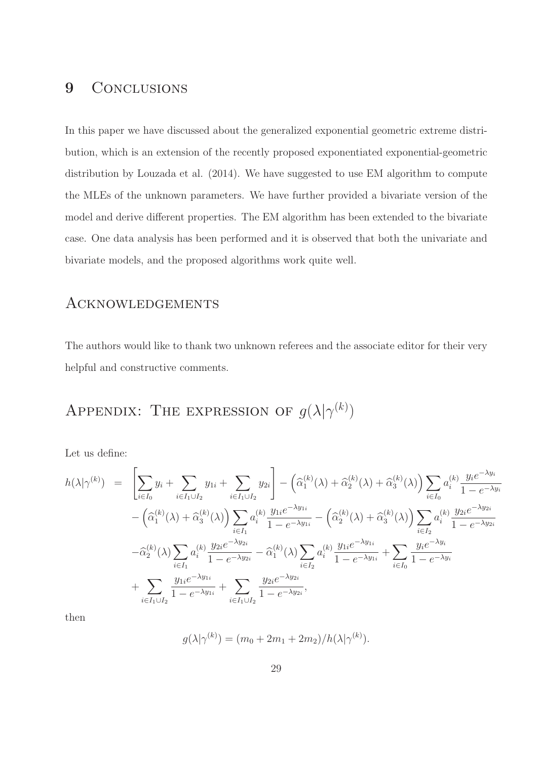### 9 CONCLUSIONS

In this paper we have discussed about the generalized exponential geometric extreme distribution, which is an extension of the recently proposed exponentiated exponential-geometric distribution by Louzada et al. (2014). We have suggested to use EM algorithm to compute the MLEs of the unknown parameters. We have further provided a bivariate version of the model and derive different properties. The EM algorithm has been extended to the bivariate case. One data analysis has been performed and it is observed that both the univariate and bivariate models, and the proposed algorithms work quite well.

### **ACKNOWLEDGEMENTS**

The authors would like to thank two unknown referees and the associate editor for their very helpful and constructive comments.

# APPENDIX: THE EXPRESSION OF  $g(\lambda | \gamma^{(k)})$

Let us define:

$$
h(\lambda|\gamma^{(k)}) = \left[\sum_{i\in I_0} y_i + \sum_{i\in I_1\cup I_2} y_{1i} + \sum_{i\in I_1\cup I_2} y_{2i}\right] - \left(\hat{\alpha}_1^{(k)}(\lambda) + \hat{\alpha}_2^{(k)}(\lambda) + \hat{\alpha}_3^{(k)}(\lambda)\right) \sum_{i\in I_0} a_i^{(k)} \frac{y_i e^{-\lambda y_i}}{1 - e^{-\lambda y_i}} \\
- \left(\hat{\alpha}_1^{(k)}(\lambda) + \hat{\alpha}_3^{(k)}(\lambda)\right) \sum_{i\in I_1} a_i^{(k)} \frac{y_{1i} e^{-\lambda y_{1i}}}{1 - e^{-\lambda y_{1i}}} - \left(\hat{\alpha}_2^{(k)}(\lambda) + \hat{\alpha}_3^{(k)}(\lambda)\right) \sum_{i\in I_2} a_i^{(k)} \frac{y_{2i} e^{-\lambda y_{2i}}}{1 - e^{-\lambda y_{2i}}} \\
- \hat{\alpha}_2^{(k)}(\lambda) \sum_{i\in I_1} a_i^{(k)} \frac{y_{2i} e^{-\lambda y_{2i}}}{1 - e^{-\lambda y_{2i}}} - \hat{\alpha}_1^{(k)}(\lambda) \sum_{i\in I_2} a_i^{(k)} \frac{y_{1i} e^{-\lambda y_{1i}}}{1 - e^{-\lambda y_{1i}}} + \sum_{i\in I_0} \frac{y_i e^{-\lambda y_i}}{1 - e^{-\lambda y_i}} \\
+ \sum_{i\in I_1\cup I_2} \frac{y_{1i} e^{-\lambda y_{1i}}}{1 - e^{-\lambda y_{1i}}} + \sum_{i\in I_1\cup I_2} \frac{y_{2i} e^{-\lambda y_{2i}}}{1 - e^{-\lambda y_{2i}}},
$$

then

$$
g(\lambda | \gamma^{(k)}) = (m_0 + 2m_1 + 2m_2) / h(\lambda | \gamma^{(k)}).
$$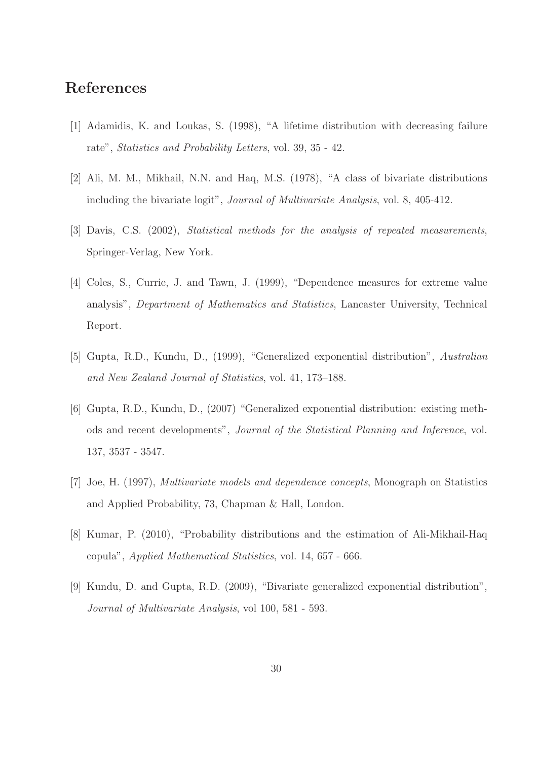## References

- [1] Adamidis, K. and Loukas, S. (1998), "A lifetime distribution with decreasing failure rate", Statistics and Probability Letters, vol. 39, 35 - 42.
- [2] Ali, M. M., Mikhail, N.N. and Haq, M.S. (1978), "A class of bivariate distributions including the bivariate logit", Journal of Multivariate Analysis, vol. 8, 405-412.
- [3] Davis, C.S. (2002), Statistical methods for the analysis of repeated measurements, Springer-Verlag, New York.
- [4] Coles, S., Currie, J. and Tawn, J. (1999), "Dependence measures for extreme value analysis", Department of Mathematics and Statistics, Lancaster University, Technical Report.
- [5] Gupta, R.D., Kundu, D., (1999), "Generalized exponential distribution", Australian and New Zealand Journal of Statistics, vol. 41, 173–188.
- [6] Gupta, R.D., Kundu, D., (2007) "Generalized exponential distribution: existing methods and recent developments", Journal of the Statistical Planning and Inference, vol. 137, 3537 - 3547.
- [7] Joe, H. (1997), Multivariate models and dependence concepts, Monograph on Statistics and Applied Probability, 73, Chapman & Hall, London.
- [8] Kumar, P. (2010), "Probability distributions and the estimation of Ali-Mikhail-Haq copula", Applied Mathematical Statistics, vol. 14, 657 - 666.
- [9] Kundu, D. and Gupta, R.D. (2009), "Bivariate generalized exponential distribution", Journal of Multivariate Analysis, vol 100, 581 - 593.